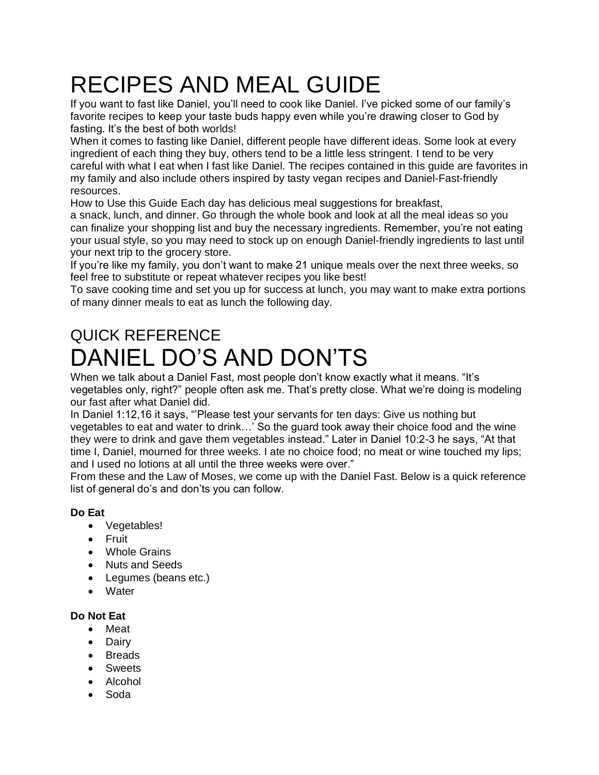# RECIPES AND MEAL GUIDE

If you want to fast like Daniel, you'll need to cook like Daniel. I've picked some of our family's favorite recipes to keep your taste buds happy even while you're drawing closer to God by fasting. It's the best of both worlds!

When it comes to fasting like Daniel, different people have different ideas. Some look at every ingredient of each thing they buy, others tend to be a little less stringent. I tend to be very careful with what I eat when I fast like Daniel. The recipes contained in this guide are favorites in my family and also include others inspired by tasty vegan recipes and Daniel-Fast-friendly resources.

How to Use this Guide Each day has delicious meal suggestions for breakfast,

a snack, lunch, and dinner. Go through the whole book and look at all the meal ideas so you can finalize your shopping list and buy the necessary ingredients. Remember, you're not eating your usual style, so you may need to stock up on enough Daniel-friendly ingredients to last until your next trip to the grocery store.

If you're like my family, you don't want to make 21 unique meals over the next three weeks, so feel free to substitute or repeat whatever recipes you like best!

To save cooking time and set you up for success at lunch, you may want to make extra portions of many dinner meals to eat as lunch the following day.

# QUICK REFERENCE DANIEL DO'S AND DON'TS

When we talk about a Daniel Fast, most people don't know exactly what it means. "It's vegetables only, right?" people often ask me. That's pretty close. What we're doing is modeling our fast after what Daniel did.

In Daniel 1:12,16 it says, "'Please test your servants for ten days: Give us nothing but vegetables to eat and water to drink…' So the guard took away their choice food and the wine they were to drink and gave them vegetables instead." Later in Daniel 10:2-3 he says, "At that time I, Daniel, mourned for three weeks. I ate no choice food; no meat or wine touched my lips; and I used no lotions at all until the three weeks were over."

From these and the Law of Moses, we come up with the Daniel Fast. Below is a quick reference list of general do's and don'ts you can follow.

### **Do Eat**

- Vegetables!
- Fruit
- Whole Grains
- Nuts and Seeds
- Legumes (beans etc.)
- Water

### **Do Not Eat**

- Meat
- Dairy
- Breads
- Sweets
- Alcohol
- Soda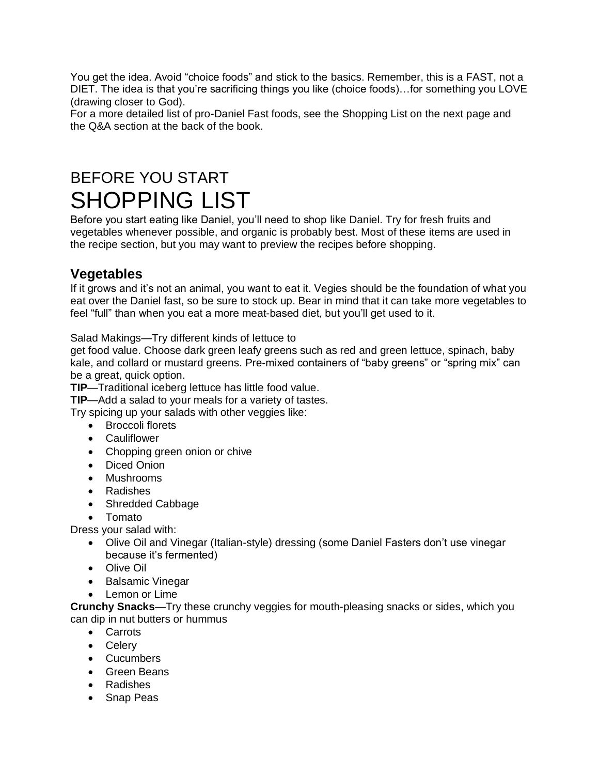You get the idea. Avoid "choice foods" and stick to the basics. Remember, this is a FAST, not a DIET. The idea is that you're sacrificing things you like (choice foods)…for something you LOVE (drawing closer to God).

For a more detailed list of pro-Daniel Fast foods, see the Shopping List on the next page and the Q&A section at the back of the book.

# BEFORE YOU START SHOPPING LIST

Before you start eating like Daniel, you'll need to shop like Daniel. Try for fresh fruits and vegetables whenever possible, and organic is probably best. Most of these items are used in the recipe section, but you may want to preview the recipes before shopping.

# **Vegetables**

If it grows and it's not an animal, you want to eat it. Vegies should be the foundation of what you eat over the Daniel fast, so be sure to stock up. Bear in mind that it can take more vegetables to feel "full" than when you eat a more meat-based diet, but you'll get used to it.

Salad Makings—Try different kinds of lettuce to

get food value. Choose dark green leafy greens such as red and green lettuce, spinach, baby kale, and collard or mustard greens. Pre-mixed containers of "baby greens" or "spring mix" can be a great, quick option.

**TIP**—Traditional iceberg lettuce has little food value.

**TIP**—Add a salad to your meals for a variety of tastes.

Try spicing up your salads with other veggies like:

- Broccoli florets
- Cauliflower
- Chopping green onion or chive
- Diced Onion
- Mushrooms
- Radishes
- Shredded Cabbage
- Tomato

Dress your salad with:

- Olive Oil and Vinegar (Italian-style) dressing (some Daniel Fasters don't use vinegar because it's fermented)
- Olive Oil
- Balsamic Vinegar
- Lemon or Lime

**Crunchy Snacks**—Try these crunchy veggies for mouth-pleasing snacks or sides, which you can dip in nut butters or hummus

- Carrots
- Celery
- Cucumbers
- Green Beans
- Radishes
- Snap Peas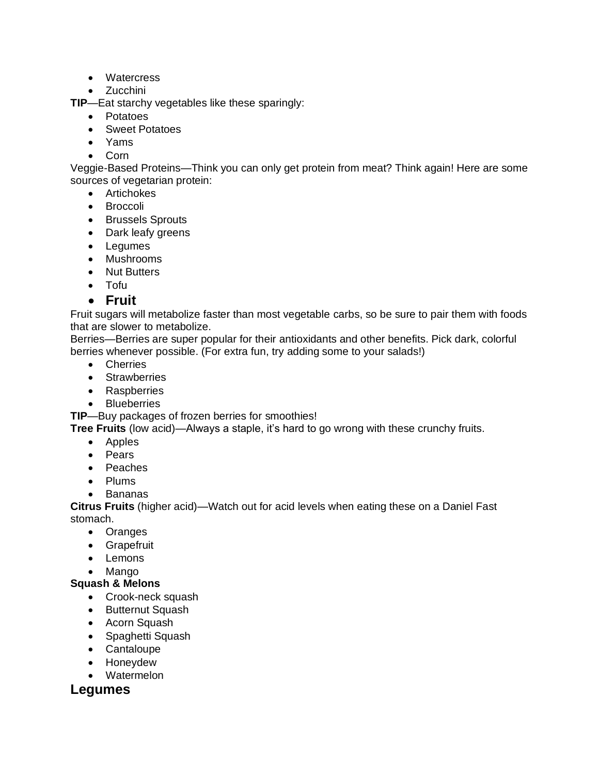- Watercress
- Zucchini

**TIP**—Eat starchy vegetables like these sparingly:

- Potatoes
- Sweet Potatoes
- Yams
- Corn

Veggie-Based Proteins—Think you can only get protein from meat? Think again! Here are some sources of vegetarian protein:

- Artichokes
- Broccoli
- Brussels Sprouts
- Dark leafy greens
- Legumes
- Mushrooms
- Nut Butters
- Tofu
- **Fruit**

Fruit sugars will metabolize faster than most vegetable carbs, so be sure to pair them with foods that are slower to metabolize.

Berries—Berries are super popular for their antioxidants and other benefits. Pick dark, colorful berries whenever possible. (For extra fun, try adding some to your salads!)

- Cherries
- Strawberries
- Raspberries
- Blueberries

**TIP**—Buy packages of frozen berries for smoothies!

**Tree Fruits** (low acid)—Always a staple, it's hard to go wrong with these crunchy fruits.

- Apples
- Pears
- Peaches
- Plums
- Bananas

**Citrus Fruits** (higher acid)—Watch out for acid levels when eating these on a Daniel Fast stomach.

- Oranges
- Grapefruit
- Lemons
- Mango

### **Squash & Melons**

- Crook-neck squash
- Butternut Squash
- Acorn Squash
- Spaghetti Squash
- Cantaloupe
- Honeydew
- Watermelon

### **Legumes**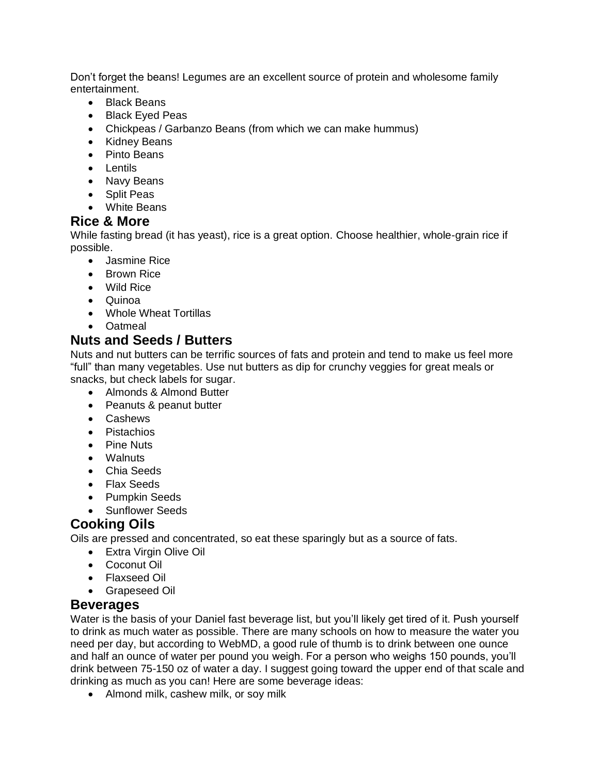Don't forget the beans! Legumes are an excellent source of protein and wholesome family entertainment.

- Black Beans
- Black Eyed Peas
- Chickpeas / Garbanzo Beans (from which we can make hummus)
- Kidney Beans
- Pinto Beans
- Lentils
- Navy Beans
- Split Peas
- White Beans

### **Rice & More**

While fasting bread (it has yeast), rice is a great option. Choose healthier, whole-grain rice if possible.

- Jasmine Rice
- Brown Rice
- Wild Rice
- Quinoa
- Whole Wheat Tortillas
- Oatmeal

### **Nuts and Seeds / Butters**

Nuts and nut butters can be terrific sources of fats and protein and tend to make us feel more "full" than many vegetables. Use nut butters as dip for crunchy veggies for great meals or snacks, but check labels for sugar.

- Almonds & Almond Butter
- Peanuts & peanut butter
- Cashews
- Pistachios
- Pine Nuts
- Walnuts
- Chia Seeds
- Flax Seeds
- Pumpkin Seeds
- Sunflower Seeds

# **Cooking Oils**

Oils are pressed and concentrated, so eat these sparingly but as a source of fats.

- Extra Virgin Olive Oil
- Coconut Oil
- Flaxseed Oil
- Grapeseed Oil

### **Beverages**

Water is the basis of your Daniel fast beverage list, but you'll likely get tired of it. Push yourself to drink as much water as possible. There are many schools on how to measure the water you need per day, but according to WebMD, a good rule of thumb is to drink between one ounce and half an ounce of water per pound you weigh. For a person who weighs 150 pounds, you'll drink between 75-150 oz of water a day. I suggest going toward the upper end of that scale and drinking as much as you can! Here are some beverage ideas:

• Almond milk, cashew milk, or soy milk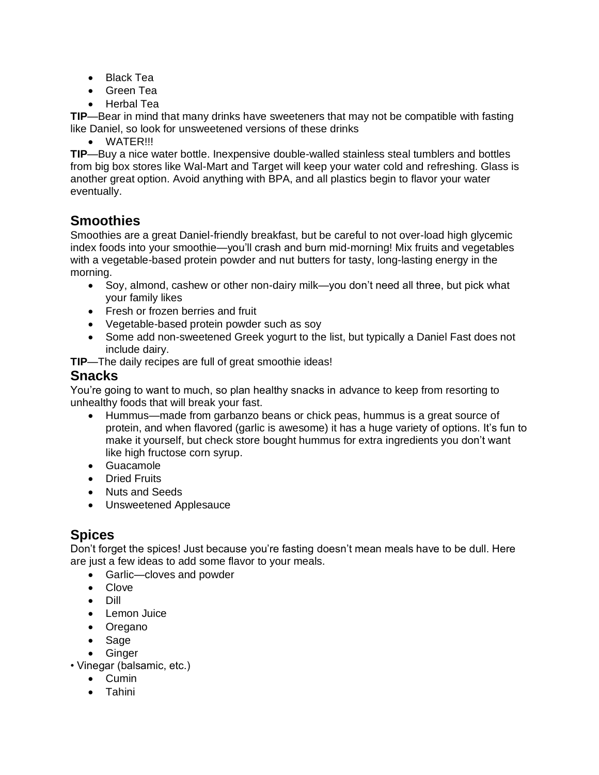- Black Tea
- Green Tea
- Herbal Tea

**TIP**—Bear in mind that many drinks have sweeteners that may not be compatible with fasting like Daniel, so look for unsweetened versions of these drinks

• WATER!!!

**TIP**—Buy a nice water bottle. Inexpensive double-walled stainless steal tumblers and bottles from big box stores like Wal-Mart and Target will keep your water cold and refreshing. Glass is another great option. Avoid anything with BPA, and all plastics begin to flavor your water eventually.

# **Smoothies**

Smoothies are a great Daniel-friendly breakfast, but be careful to not over-load high glycemic index foods into your smoothie—you'll crash and burn mid-morning! Mix fruits and vegetables with a vegetable-based protein powder and nut butters for tasty, long-lasting energy in the morning.

- Soy, almond, cashew or other non-dairy milk—you don't need all three, but pick what your family likes
- Fresh or frozen berries and fruit
- Vegetable-based protein powder such as soy
- Some add non-sweetened Greek yogurt to the list, but typically a Daniel Fast does not include dairy.

**TIP**—The daily recipes are full of great smoothie ideas!

### **Snacks**

You're going to want to much, so plan healthy snacks in advance to keep from resorting to unhealthy foods that will break your fast.

- Hummus—made from garbanzo beans or chick peas, hummus is a great source of protein, and when flavored (garlic is awesome) it has a huge variety of options. It's fun to make it yourself, but check store bought hummus for extra ingredients you don't want like high fructose corn syrup.
- Guacamole
- Dried Fruits
- Nuts and Seeds
- Unsweetened Applesauce

# **Spices**

Don't forget the spices! Just because you're fasting doesn't mean meals have to be dull. Here are just a few ideas to add some flavor to your meals.

- Garlic—cloves and powder
- Clove
- Dill
- Lemon Juice
- Oregano
- Sage
- Ginger
- Vinegar (balsamic, etc.)
	- Cumin
	- Tahini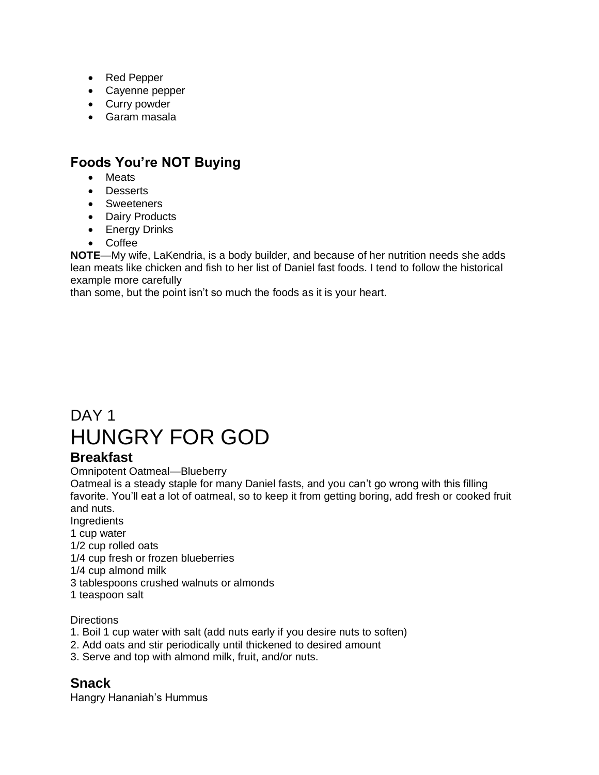- Red Pepper
- Cayenne pepper
- Curry powder
- Garam masala

# **Foods You're NOT Buying**

- **Meats**
- Desserts
- Sweeteners
- Dairy Products
- Energy Drinks
- Coffee

**NOTE**—My wife, LaKendria, is a body builder, and because of her nutrition needs she adds lean meats like chicken and fish to her list of Daniel fast foods. I tend to follow the historical example more carefully

than some, but the point isn't so much the foods as it is your heart.

# DAY<sub>1</sub> HUNGRY FOR GOD

# **Breakfast**

Omnipotent Oatmeal—Blueberry

Oatmeal is a steady staple for many Daniel fasts, and you can't go wrong with this filling favorite. You'll eat a lot of oatmeal, so to keep it from getting boring, add fresh or cooked fruit and nuts.

Ingredients

1 cup water

1/2 cup rolled oats

1/4 cup fresh or frozen blueberries

1/4 cup almond milk

3 tablespoons crushed walnuts or almonds

1 teaspoon salt

### **Directions**

- 1. Boil 1 cup water with salt (add nuts early if you desire nuts to soften)
- 2. Add oats and stir periodically until thickened to desired amount
- 3. Serve and top with almond milk, fruit, and/or nuts.

### **Snack**

Hangry Hananiah's Hummus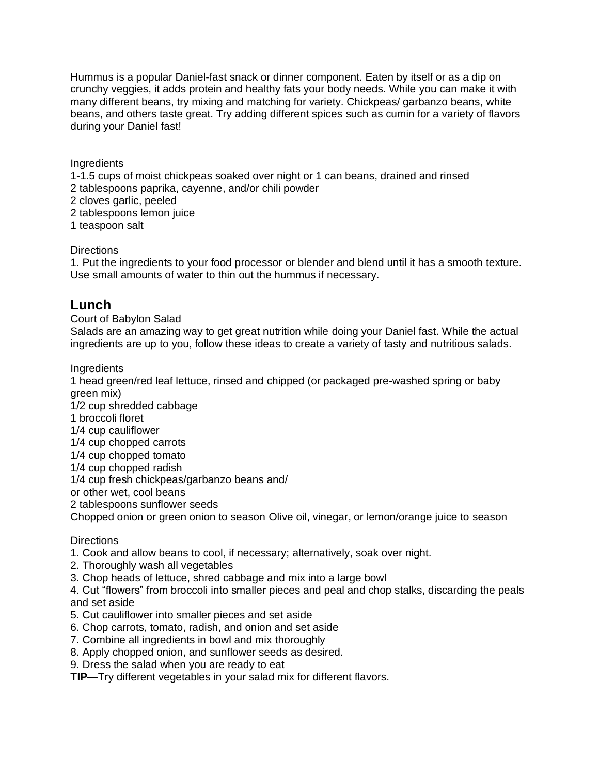Hummus is a popular Daniel-fast snack or dinner component. Eaten by itself or as a dip on crunchy veggies, it adds protein and healthy fats your body needs. While you can make it with many different beans, try mixing and matching for variety. Chickpeas/ garbanzo beans, white beans, and others taste great. Try adding different spices such as cumin for a variety of flavors during your Daniel fast!

**Ingredients** 

1-1.5 cups of moist chickpeas soaked over night or 1 can beans, drained and rinsed

2 tablespoons paprika, cayenne, and/or chili powder

2 cloves garlic, peeled

2 tablespoons lemon juice

1 teaspoon salt

**Directions** 

1. Put the ingredients to your food processor or blender and blend until it has a smooth texture. Use small amounts of water to thin out the hummus if necessary.

### **Lunch**

Court of Babylon Salad

Salads are an amazing way to get great nutrition while doing your Daniel fast. While the actual ingredients are up to you, follow these ideas to create a variety of tasty and nutritious salads.

**Ingredients** 

1 head green/red leaf lettuce, rinsed and chipped (or packaged pre-washed spring or baby green mix)

1/2 cup shredded cabbage

1 broccoli floret

1/4 cup cauliflower

1/4 cup chopped carrots

1/4 cup chopped tomato

1/4 cup chopped radish

1/4 cup fresh chickpeas/garbanzo beans and/

or other wet, cool beans

2 tablespoons sunflower seeds

Chopped onion or green onion to season Olive oil, vinegar, or lemon/orange juice to season

**Directions** 

1. Cook and allow beans to cool, if necessary; alternatively, soak over night.

2. Thoroughly wash all vegetables

3. Chop heads of lettuce, shred cabbage and mix into a large bowl

4. Cut "flowers" from broccoli into smaller pieces and peal and chop stalks, discarding the peals and set aside

- 5. Cut cauliflower into smaller pieces and set aside
- 6. Chop carrots, tomato, radish, and onion and set aside
- 7. Combine all ingredients in bowl and mix thoroughly
- 8. Apply chopped onion, and sunflower seeds as desired.
- 9. Dress the salad when you are ready to eat

**TIP**—Try different vegetables in your salad mix for different flavors.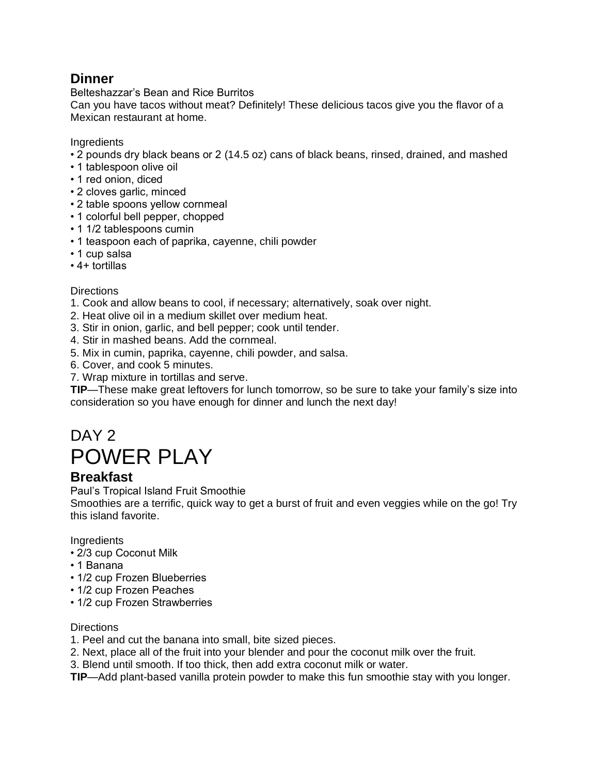# **Dinner**

Belteshazzar's Bean and Rice Burritos

Can you have tacos without meat? Definitely! These delicious tacos give you the flavor of a Mexican restaurant at home.

**Ingredients** 

- 2 pounds dry black beans or 2 (14.5 oz) cans of black beans, rinsed, drained, and mashed
- 1 tablespoon olive oil
- 1 red onion, diced
- 2 cloves garlic, minced
- 2 table spoons yellow cornmeal
- 1 colorful bell pepper, chopped
- 1 1/2 tablespoons cumin
- 1 teaspoon each of paprika, cayenne, chili powder
- 1 cup salsa
- 4+ tortillas

### **Directions**

- 1. Cook and allow beans to cool, if necessary; alternatively, soak over night.
- 2. Heat olive oil in a medium skillet over medium heat.
- 3. Stir in onion, garlic, and bell pepper; cook until tender.
- 4. Stir in mashed beans. Add the cornmeal.
- 5. Mix in cumin, paprika, cayenne, chili powder, and salsa.
- 6. Cover, and cook 5 minutes.
- 7. Wrap mixture in tortillas and serve.

**TIP**—These make great leftovers for lunch tomorrow, so be sure to take your family's size into consideration so you have enough for dinner and lunch the next day!

# DAY 2 POWER PLAY

### **Breakfast**

Paul's Tropical Island Fruit Smoothie

Smoothies are a terrific, quick way to get a burst of fruit and even veggies while on the go! Try this island favorite.

**Ingredients** 

- 2/3 cup Coconut Milk
- 1 Banana
- 1/2 cup Frozen Blueberries
- 1/2 cup Frozen Peaches
- 1/2 cup Frozen Strawberries

### **Directions**

- 1. Peel and cut the banana into small, bite sized pieces.
- 2. Next, place all of the fruit into your blender and pour the coconut milk over the fruit.
- 3. Blend until smooth. If too thick, then add extra coconut milk or water.
- **TIP**—Add plant-based vanilla protein powder to make this fun smoothie stay with you longer.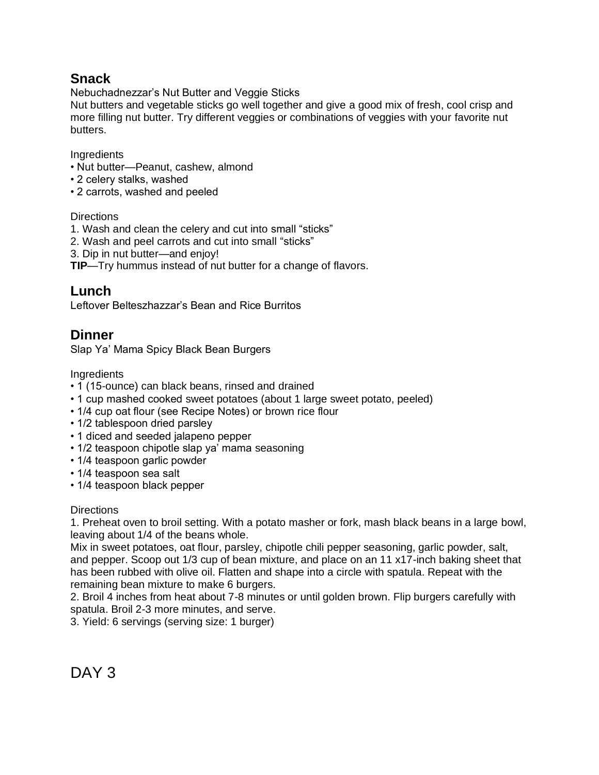# **Snack**

Nebuchadnezzar's Nut Butter and Veggie Sticks

Nut butters and vegetable sticks go well together and give a good mix of fresh, cool crisp and more filling nut butter. Try different veggies or combinations of veggies with your favorite nut butters.

**Ingredients** 

- Nut butter—Peanut, cashew, almond
- 2 celery stalks, washed
- 2 carrots, washed and peeled

### **Directions**

- 1. Wash and clean the celery and cut into small "sticks"
- 2. Wash and peel carrots and cut into small "sticks"
- 3. Dip in nut butter—and enjoy!

**TIP**—Try hummus instead of nut butter for a change of flavors.

### **Lunch**

Leftover Belteszhazzar's Bean and Rice Burritos

# **Dinner**

Slap Ya' Mama Spicy Black Bean Burgers

**Ingredients** 

- 1 (15-ounce) can black beans, rinsed and drained
- 1 cup mashed cooked sweet potatoes (about 1 large sweet potato, peeled)
- 1/4 cup oat flour (see Recipe Notes) or brown rice flour
- 1/2 tablespoon dried parsley
- 1 diced and seeded jalapeno pepper
- 1/2 teaspoon chipotle slap ya' mama seasoning
- 1/4 teaspoon garlic powder
- 1/4 teaspoon sea salt
- 1/4 teaspoon black pepper

### **Directions**

1. Preheat oven to broil setting. With a potato masher or fork, mash black beans in a large bowl, leaving about 1/4 of the beans whole.

Mix in sweet potatoes, oat flour, parsley, chipotle chili pepper seasoning, garlic powder, salt, and pepper. Scoop out 1/3 cup of bean mixture, and place on an 11 x17-inch baking sheet that has been rubbed with olive oil. Flatten and shape into a circle with spatula. Repeat with the remaining bean mixture to make 6 burgers.

2. Broil 4 inches from heat about 7-8 minutes or until golden brown. Flip burgers carefully with spatula. Broil 2-3 more minutes, and serve.

3. Yield: 6 servings (serving size: 1 burger)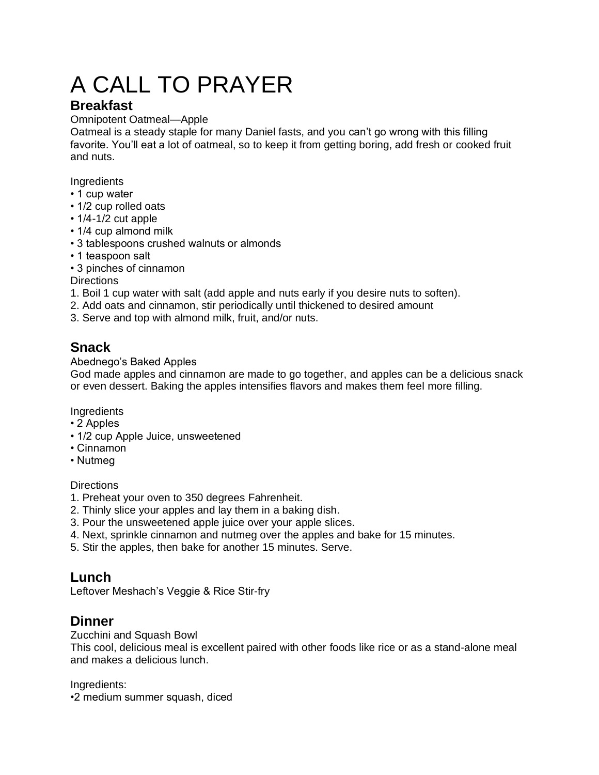# A CALL TO PRAYER

# **Breakfast**

### Omnipotent Oatmeal—Apple

Oatmeal is a steady staple for many Daniel fasts, and you can't go wrong with this filling favorite. You'll eat a lot of oatmeal, so to keep it from getting boring, add fresh or cooked fruit and nuts.

**Ingredients** 

- 1 cup water
- 1/2 cup rolled oats
- 1/4-1/2 cut apple
- 1/4 cup almond milk
- 3 tablespoons crushed walnuts or almonds
- 1 teaspoon salt
- 3 pinches of cinnamon

**Directions** 

- 1. Boil 1 cup water with salt (add apple and nuts early if you desire nuts to soften).
- 2. Add oats and cinnamon, stir periodically until thickened to desired amount
- 3. Serve and top with almond milk, fruit, and/or nuts.

# **Snack**

### Abednego's Baked Apples

God made apples and cinnamon are made to go together, and apples can be a delicious snack or even dessert. Baking the apples intensifies flavors and makes them feel more filling.

**Ingredients** 

- 2 Apples
- 1/2 cup Apple Juice, unsweetened
- Cinnamon
- Nutmeg

**Directions** 

- 1. Preheat your oven to 350 degrees Fahrenheit.
- 2. Thinly slice your apples and lay them in a baking dish.
- 3. Pour the unsweetened apple juice over your apple slices.
- 4. Next, sprinkle cinnamon and nutmeg over the apples and bake for 15 minutes.
- 5. Stir the apples, then bake for another 15 minutes. Serve.

# **Lunch**

Leftover Meshach's Veggie & Rice Stir-fry

# **Dinner**

Zucchini and Squash Bowl

This cool, delicious meal is excellent paired with other foods like rice or as a stand-alone meal and makes a delicious lunch.

Ingredients:

•2 medium summer squash, diced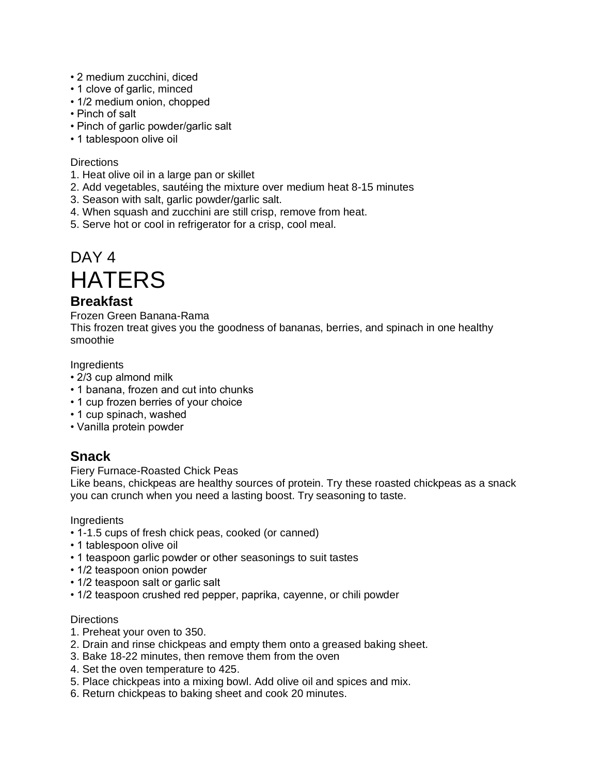- 2 medium zucchini, diced
- 1 clove of garlic, minced
- 1/2 medium onion, chopped
- Pinch of salt
- Pinch of garlic powder/garlic salt
- 1 tablespoon olive oil

- 1. Heat olive oil in a large pan or skillet
- 2. Add vegetables, sautéing the mixture over medium heat 8-15 minutes
- 3. Season with salt, garlic powder/garlic salt.
- 4. When squash and zucchini are still crisp, remove from heat.
- 5. Serve hot or cool in refrigerator for a crisp, cool meal.

# DAY<sub>4</sub>

# **HATERS**

### **Breakfast**

Frozen Green Banana-Rama

This frozen treat gives you the goodness of bananas, berries, and spinach in one healthy smoothie

**Ingredients** 

- 2/3 cup almond milk
- 1 banana, frozen and cut into chunks
- 1 cup frozen berries of your choice
- 1 cup spinach, washed
- Vanilla protein powder

### **Snack**

Fiery Furnace-Roasted Chick Peas

Like beans, chickpeas are healthy sources of protein. Try these roasted chickpeas as a snack you can crunch when you need a lasting boost. Try seasoning to taste.

**Ingredients** 

- 1-1.5 cups of fresh chick peas, cooked (or canned)
- 1 tablespoon olive oil
- 1 teaspoon garlic powder or other seasonings to suit tastes
- 1/2 teaspoon onion powder
- 1/2 teaspoon salt or garlic salt
- 1/2 teaspoon crushed red pepper, paprika, cayenne, or chili powder

#### **Directions**

- 1. Preheat your oven to 350.
- 2. Drain and rinse chickpeas and empty them onto a greased baking sheet.
- 3. Bake 18-22 minutes, then remove them from the oven
- 4. Set the oven temperature to 425.
- 5. Place chickpeas into a mixing bowl. Add olive oil and spices and mix.
- 6. Return chickpeas to baking sheet and cook 20 minutes.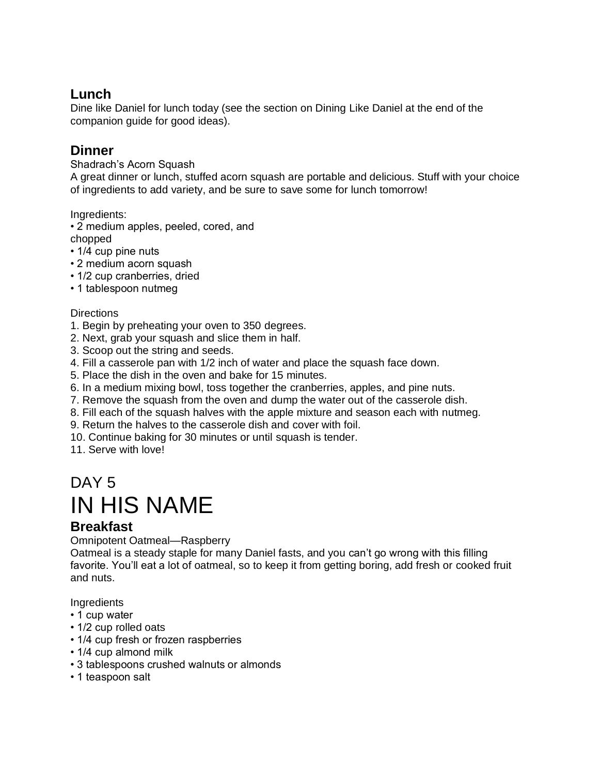# **Lunch**

Dine like Daniel for lunch today (see the section on Dining Like Daniel at the end of the companion guide for good ideas).

# **Dinner**

Shadrach's Acorn Squash

A great dinner or lunch, stuffed acorn squash are portable and delicious. Stuff with your choice of ingredients to add variety, and be sure to save some for lunch tomorrow!

Ingredients:

• 2 medium apples, peeled, cored, and

- chopped
- 1/4 cup pine nuts
- 2 medium acorn squash
- 1/2 cup cranberries, dried
- 1 tablespoon nutmeg

### **Directions**

- 1. Begin by preheating your oven to 350 degrees.
- 2. Next, grab your squash and slice them in half.
- 3. Scoop out the string and seeds.
- 4. Fill a casserole pan with 1/2 inch of water and place the squash face down.
- 5. Place the dish in the oven and bake for 15 minutes.
- 6. In a medium mixing bowl, toss together the cranberries, apples, and pine nuts.
- 7. Remove the squash from the oven and dump the water out of the casserole dish.
- 8. Fill each of the squash halves with the apple mixture and season each with nutmeg.
- 9. Return the halves to the casserole dish and cover with foil.
- 10. Continue baking for 30 minutes or until squash is tender.

11. Serve with love!

# DAY<sub>5</sub> IN HIS NAME

### **Breakfast**

Omnipotent Oatmeal—Raspberry

Oatmeal is a steady staple for many Daniel fasts, and you can't go wrong with this filling favorite. You'll eat a lot of oatmeal, so to keep it from getting boring, add fresh or cooked fruit and nuts.

- 1 cup water
- 1/2 cup rolled oats
- 1/4 cup fresh or frozen raspberries
- 1/4 cup almond milk
- 3 tablespoons crushed walnuts or almonds
- 1 teaspoon salt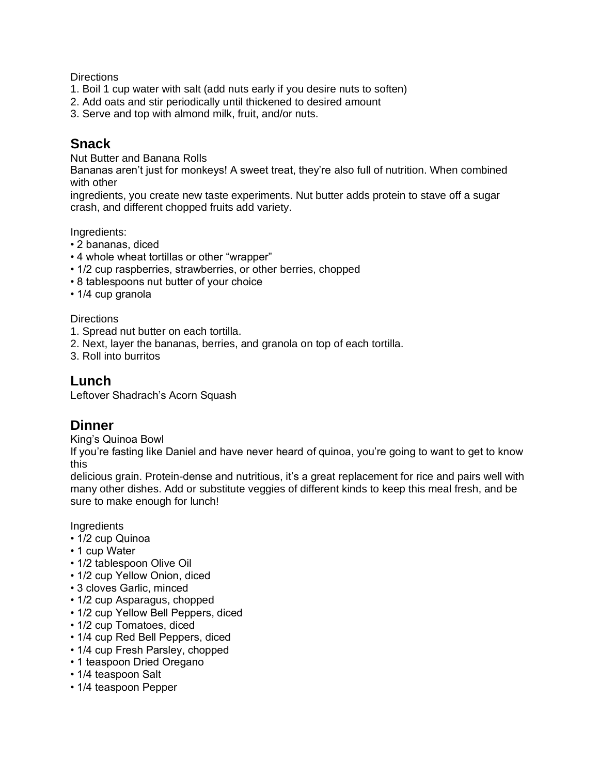- 1. Boil 1 cup water with salt (add nuts early if you desire nuts to soften)
- 2. Add oats and stir periodically until thickened to desired amount
- 3. Serve and top with almond milk, fruit, and/or nuts.

## **Snack**

Nut Butter and Banana Rolls

Bananas aren't just for monkeys! A sweet treat, they're also full of nutrition. When combined with other

ingredients, you create new taste experiments. Nut butter adds protein to stave off a sugar crash, and different chopped fruits add variety.

Ingredients:

- 2 bananas, diced
- 4 whole wheat tortillas or other "wrapper"
- 1/2 cup raspberries, strawberries, or other berries, chopped
- 8 tablespoons nut butter of your choice
- 1/4 cup granola

#### **Directions**

- 1. Spread nut butter on each tortilla.
- 2. Next, layer the bananas, berries, and granola on top of each tortilla.
- 3. Roll into burritos

### **Lunch**

Leftover Shadrach's Acorn Squash

### **Dinner**

King's Quinoa Bowl

If you're fasting like Daniel and have never heard of quinoa, you're going to want to get to know this

delicious grain. Protein-dense and nutritious, it's a great replacement for rice and pairs well with many other dishes. Add or substitute veggies of different kinds to keep this meal fresh, and be sure to make enough for lunch!

- 1/2 cup Quinoa
- 1 cup Water
- 1/2 tablespoon Olive Oil
- 1/2 cup Yellow Onion, diced
- 3 cloves Garlic, minced
- 1/2 cup Asparagus, chopped
- 1/2 cup Yellow Bell Peppers, diced
- 1/2 cup Tomatoes, diced
- 1/4 cup Red Bell Peppers, diced
- 1/4 cup Fresh Parsley, chopped
- 1 teaspoon Dried Oregano
- 1/4 teaspoon Salt
- 1/4 teaspoon Pepper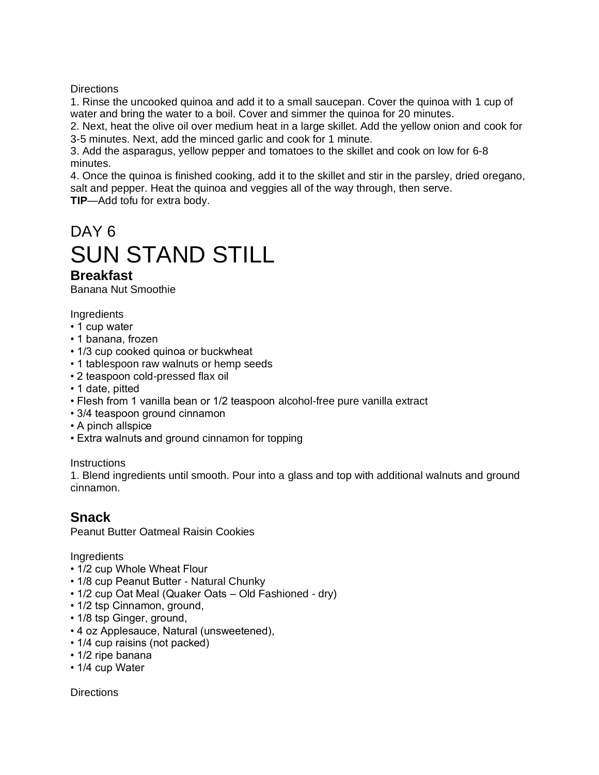1. Rinse the uncooked quinoa and add it to a small saucepan. Cover the quinoa with 1 cup of water and bring the water to a boil. Cover and simmer the quinoa for 20 minutes.

2. Next, heat the olive oil over medium heat in a large skillet. Add the yellow onion and cook for 3-5 minutes. Next, add the minced garlic and cook for 1 minute.

3. Add the asparagus, yellow pepper and tomatoes to the skillet and cook on low for 6-8 minutes.

4. Once the quinoa is finished cooking, add it to the skillet and stir in the parsley, dried oregano, salt and pepper. Heat the quinoa and veggies all of the way through, then serve.

**TIP**—Add tofu for extra body.

# DAY 6 SUN STAND STILL

## **Breakfast**

Banana Nut Smoothie

**Ingredients** 

- 1 cup water
- 1 banana, frozen
- 1/3 cup cooked quinoa or buckwheat
- 1 tablespoon raw walnuts or hemp seeds
- 2 teaspoon cold-pressed flax oil
- 1 date, pitted
- Flesh from 1 vanilla bean or 1/2 teaspoon alcohol-free pure vanilla extract
- 3/4 teaspoon ground cinnamon
- A pinch allspice
- Extra walnuts and ground cinnamon for topping

**Instructions** 

1. Blend ingredients until smooth. Pour into a glass and top with additional walnuts and ground cinnamon.

### **Snack**

Peanut Butter Oatmeal Raisin Cookies

**Ingredients** 

- 1/2 cup Whole Wheat Flour
- 1/8 cup Peanut Butter Natural Chunky
- 1/2 cup Oat Meal (Quaker Oats Old Fashioned dry)
- 1/2 tsp Cinnamon, ground,
- 1/8 tsp Ginger, ground,
- 4 oz Applesauce, Natural (unsweetened),
- 1/4 cup raisins (not packed)
- 1/2 ripe banana
- 1/4 cup Water

**Directions**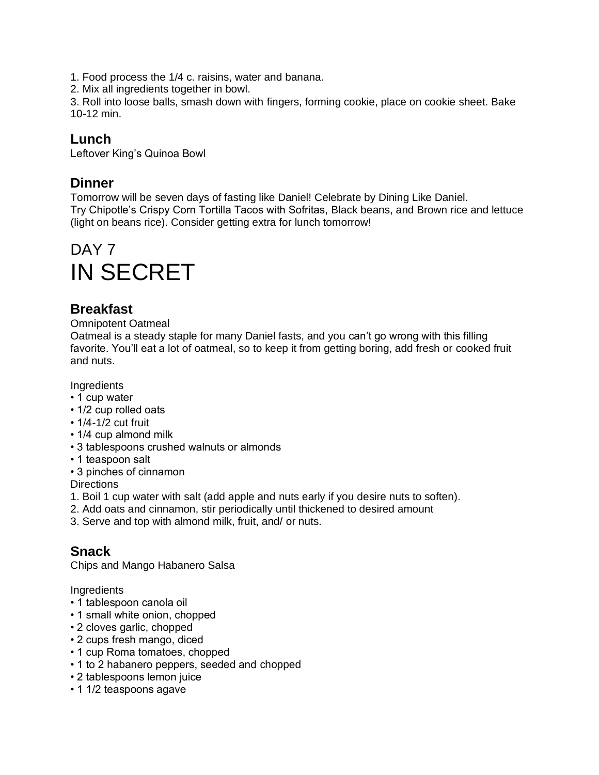1. Food process the 1/4 c. raisins, water and banana.

2. Mix all ingredients together in bowl.

3. Roll into loose balls, smash down with fingers, forming cookie, place on cookie sheet. Bake 10-12 min.

### **Lunch**

Leftover King's Quinoa Bowl

### **Dinner**

Tomorrow will be seven days of fasting like Daniel! Celebrate by Dining Like Daniel. Try Chipotle's Crispy Corn Tortilla Tacos with Sofritas, Black beans, and Brown rice and lettuce (light on beans rice). Consider getting extra for lunch tomorrow!

# DAY<sub>7</sub> IN SECRET

# **Breakfast**

#### Omnipotent Oatmeal

Oatmeal is a steady staple for many Daniel fasts, and you can't go wrong with this filling favorite. You'll eat a lot of oatmeal, so to keep it from getting boring, add fresh or cooked fruit and nuts.

**Ingredients** 

- 1 cup water
- 1/2 cup rolled oats
- 1/4-1/2 cut fruit
- 1/4 cup almond milk
- 3 tablespoons crushed walnuts or almonds
- 1 teaspoon salt
- 3 pinches of cinnamon

**Directions** 

- 1. Boil 1 cup water with salt (add apple and nuts early if you desire nuts to soften).
- 2. Add oats and cinnamon, stir periodically until thickened to desired amount
- 3. Serve and top with almond milk, fruit, and/ or nuts.

### **Snack**

Chips and Mango Habanero Salsa

- 1 tablespoon canola oil
- 1 small white onion, chopped
- 2 cloves garlic, chopped
- 2 cups fresh mango, diced
- 1 cup Roma tomatoes, chopped
- 1 to 2 habanero peppers, seeded and chopped
- 2 tablespoons lemon juice
- 1 1/2 teaspoons agave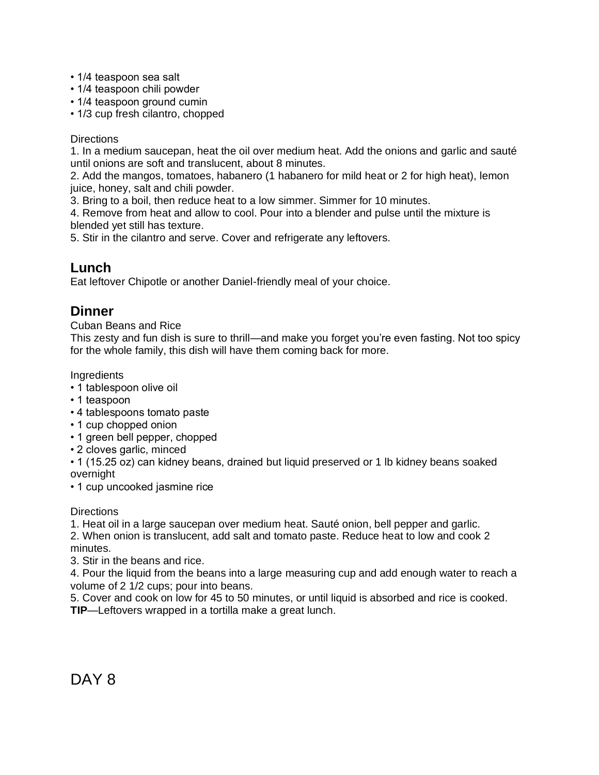- 1/4 teaspoon sea salt
- 1/4 teaspoon chili powder
- 1/4 teaspoon ground cumin
- 1/3 cup fresh cilantro, chopped

1. In a medium saucepan, heat the oil over medium heat. Add the onions and garlic and sauté until onions are soft and translucent, about 8 minutes.

2. Add the mangos, tomatoes, habanero (1 habanero for mild heat or 2 for high heat), lemon juice, honey, salt and chili powder.

3. Bring to a boil, then reduce heat to a low simmer. Simmer for 10 minutes.

4. Remove from heat and allow to cool. Pour into a blender and pulse until the mixture is blended yet still has texture.

5. Stir in the cilantro and serve. Cover and refrigerate any leftovers.

### **Lunch**

Eat leftover Chipotle or another Daniel-friendly meal of your choice.

### **Dinner**

Cuban Beans and Rice

This zesty and fun dish is sure to thrill—and make you forget you're even fasting. Not too spicy for the whole family, this dish will have them coming back for more.

**Ingredients** 

- 1 tablespoon olive oil
- 1 teaspoon
- 4 tablespoons tomato paste
- 1 cup chopped onion
- 1 green bell pepper, chopped
- 2 cloves garlic, minced
- 1 (15.25 oz) can kidney beans, drained but liquid preserved or 1 lb kidney beans soaked overnight

• 1 cup uncooked jasmine rice

**Directions** 

1. Heat oil in a large saucepan over medium heat. Sauté onion, bell pepper and garlic. 2. When onion is translucent, add salt and tomato paste. Reduce heat to low and cook 2 minutes.

3. Stir in the beans and rice.

4. Pour the liquid from the beans into a large measuring cup and add enough water to reach a volume of 2 1/2 cups; pour into beans.

5. Cover and cook on low for 45 to 50 minutes, or until liquid is absorbed and rice is cooked. **TIP**—Leftovers wrapped in a tortilla make a great lunch.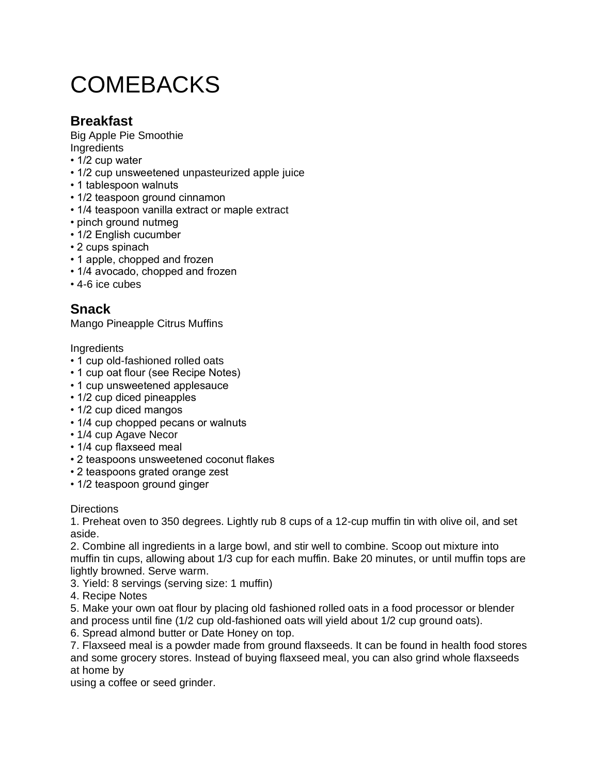# **COMEBACKS**

# **Breakfast**

Big Apple Pie Smoothie **Ingredients** 

- 1/2 cup water
- 1/2 cup unsweetened unpasteurized apple juice
- 1 tablespoon walnuts
- 1/2 teaspoon ground cinnamon
- 1/4 teaspoon vanilla extract or maple extract
- pinch ground nutmeg
- 1/2 English cucumber
- 2 cups spinach
- 1 apple, chopped and frozen
- 1/4 avocado, chopped and frozen
- 4-6 ice cubes

# **Snack**

Mango Pineapple Citrus Muffins

**Ingredients** 

- 1 cup old-fashioned rolled oats
- 1 cup oat flour (see Recipe Notes)
- 1 cup unsweetened applesauce
- 1/2 cup diced pineapples
- 1/2 cup diced mangos
- 1/4 cup chopped pecans or walnuts
- 1/4 cup Agave Necor
- 1/4 cup flaxseed meal
- 2 teaspoons unsweetened coconut flakes
- 2 teaspoons grated orange zest
- 1/2 teaspoon ground ginger

### **Directions**

1. Preheat oven to 350 degrees. Lightly rub 8 cups of a 12-cup muffin tin with olive oil, and set aside.

2. Combine all ingredients in a large bowl, and stir well to combine. Scoop out mixture into muffin tin cups, allowing about 1/3 cup for each muffin. Bake 20 minutes, or until muffin tops are lightly browned. Serve warm.

3. Yield: 8 servings (serving size: 1 muffin)

4. Recipe Notes

5. Make your own oat flour by placing old fashioned rolled oats in a food processor or blender and process until fine (1/2 cup old-fashioned oats will yield about 1/2 cup ground oats).

6. Spread almond butter or Date Honey on top.

7. Flaxseed meal is a powder made from ground flaxseeds. It can be found in health food stores and some grocery stores. Instead of buying flaxseed meal, you can also grind whole flaxseeds at home by

using a coffee or seed grinder.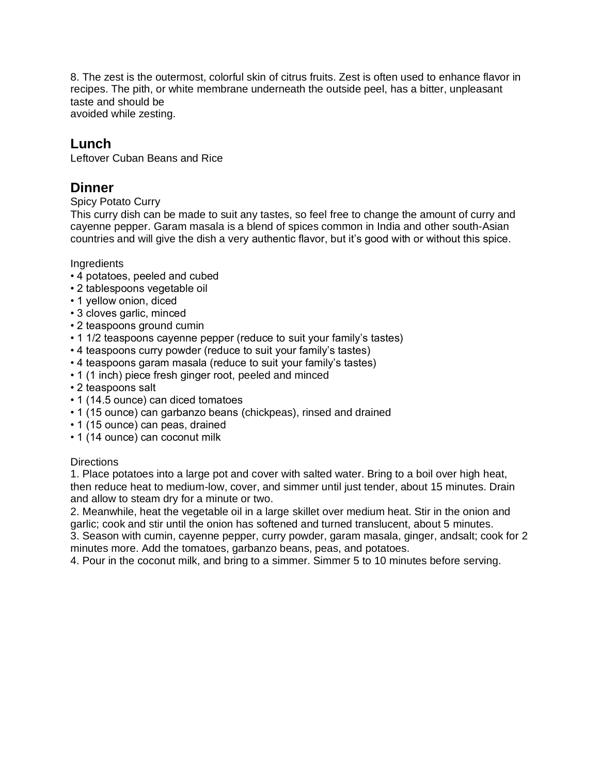8. The zest is the outermost, colorful skin of citrus fruits. Zest is often used to enhance flavor in recipes. The pith, or white membrane underneath the outside peel, has a bitter, unpleasant taste and should be avoided while zesting.

### **Lunch**

Leftover Cuban Beans and Rice

## **Dinner**

### Spicy Potato Curry

This curry dish can be made to suit any tastes, so feel free to change the amount of curry and cayenne pepper. Garam masala is a blend of spices common in India and other south-Asian countries and will give the dish a very authentic flavor, but it's good with or without this spice.

### **Ingredients**

- 4 potatoes, peeled and cubed
- 2 tablespoons vegetable oil
- 1 yellow onion, diced
- 3 cloves garlic, minced
- 2 teaspoons ground cumin
- 1 1/2 teaspoons cayenne pepper (reduce to suit your family's tastes)
- 4 teaspoons curry powder (reduce to suit your family's tastes)
- 4 teaspoons garam masala (reduce to suit your family's tastes)
- 1 (1 inch) piece fresh ginger root, peeled and minced
- 2 teaspoons salt
- 1 (14.5 ounce) can diced tomatoes
- 1 (15 ounce) can garbanzo beans (chickpeas), rinsed and drained
- 1 (15 ounce) can peas, drained
- 1 (14 ounce) can coconut milk

### **Directions**

1. Place potatoes into a large pot and cover with salted water. Bring to a boil over high heat, then reduce heat to medium-low, cover, and simmer until just tender, about 15 minutes. Drain and allow to steam dry for a minute or two.

2. Meanwhile, heat the vegetable oil in a large skillet over medium heat. Stir in the onion and garlic; cook and stir until the onion has softened and turned translucent, about 5 minutes.

3. Season with cumin, cayenne pepper, curry powder, garam masala, ginger, andsalt; cook for 2 minutes more. Add the tomatoes, garbanzo beans, peas, and potatoes.

4. Pour in the coconut milk, and bring to a simmer. Simmer 5 to 10 minutes before serving.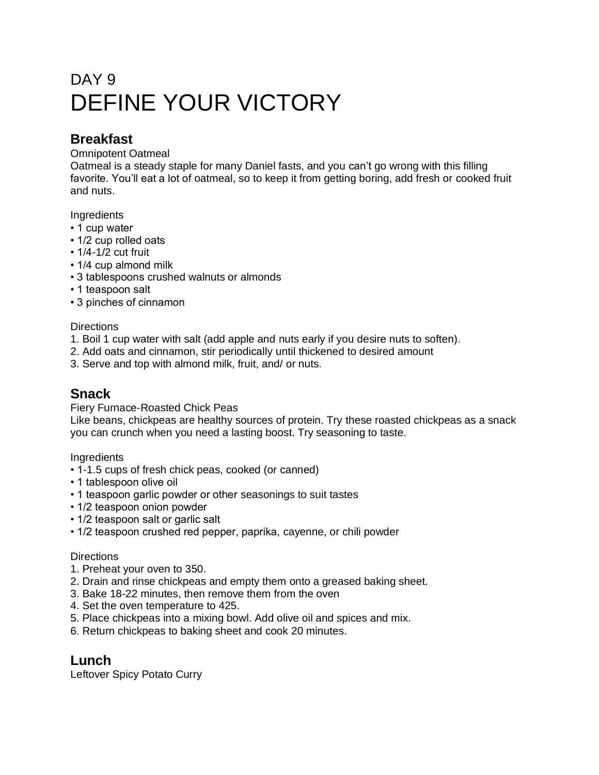# DAY 9 DEFINE YOUR VICTORY

# **Breakfast**

### Omnipotent Oatmeal

Oatmeal is a steady staple for many Daniel fasts, and you can't go wrong with this filling favorite. You'll eat a lot of oatmeal, so to keep it from getting boring, add fresh or cooked fruit and nuts.

### **Ingredients**

- 1 cup water
- 1/2 cup rolled oats
- 1/4-1/2 cut fruit
- 1/4 cup almond milk
- 3 tablespoons crushed walnuts or almonds
- 1 teaspoon salt
- 3 pinches of cinnamon

### **Directions**

- 1. Boil 1 cup water with salt (add apple and nuts early if you desire nuts to soften).
- 2. Add oats and cinnamon, stir periodically until thickened to desired amount
- 3. Serve and top with almond milk, fruit, and/ or nuts.

# **Snack**

Fiery Furnace-Roasted Chick Peas

Like beans, chickpeas are healthy sources of protein. Try these roasted chickpeas as a snack you can crunch when you need a lasting boost. Try seasoning to taste.

**Ingredients** 

- 1-1.5 cups of fresh chick peas, cooked (or canned)
- 1 tablespoon olive oil
- 1 teaspoon garlic powder or other seasonings to suit tastes
- 1/2 teaspoon onion powder
- 1/2 teaspoon salt or garlic salt
- 1/2 teaspoon crushed red pepper, paprika, cayenne, or chili powder

### **Directions**

- 1. Preheat your oven to 350.
- 2. Drain and rinse chickpeas and empty them onto a greased baking sheet.
- 3. Bake 18-22 minutes, then remove them from the oven
- 4. Set the oven temperature to 425.
- 5. Place chickpeas into a mixing bowl. Add olive oil and spices and mix.
- 6. Return chickpeas to baking sheet and cook 20 minutes.

### **Lunch**

Leftover Spicy Potato Curry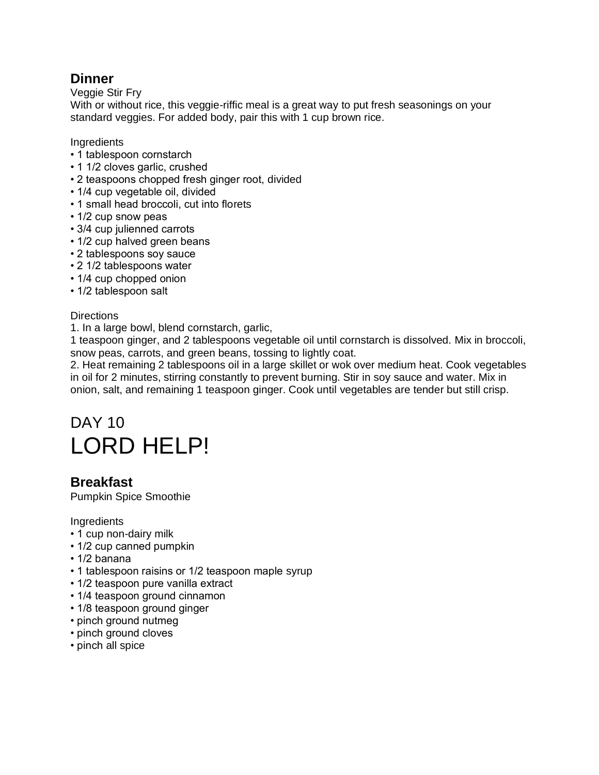# **Dinner**

Veggie Stir Fry

With or without rice, this veggie-riffic meal is a great way to put fresh seasonings on your standard veggies. For added body, pair this with 1 cup brown rice.

**Ingredients** 

- 1 tablespoon cornstarch
- 1 1/2 cloves garlic, crushed
- 2 teaspoons chopped fresh ginger root, divided
- 1/4 cup vegetable oil, divided
- 1 small head broccoli, cut into florets
- 1/2 cup snow peas
- 3/4 cup julienned carrots
- 1/2 cup halved green beans
- 2 tablespoons soy sauce
- 2 1/2 tablespoons water
- 1/4 cup chopped onion
- 1/2 tablespoon salt

### **Directions**

1. In a large bowl, blend cornstarch, garlic,

1 teaspoon ginger, and 2 tablespoons vegetable oil until cornstarch is dissolved. Mix in broccoli, snow peas, carrots, and green beans, tossing to lightly coat.

2. Heat remaining 2 tablespoons oil in a large skillet or wok over medium heat. Cook vegetables in oil for 2 minutes, stirring constantly to prevent burning. Stir in soy sauce and water. Mix in onion, salt, and remaining 1 teaspoon ginger. Cook until vegetables are tender but still crisp.

# DAY 10 LORD HELP!

### **Breakfast**

Pumpkin Spice Smoothie

- 1 cup non-dairy milk
- 1/2 cup canned pumpkin
- 1/2 banana
- 1 tablespoon raisins or 1/2 teaspoon maple syrup
- 1/2 teaspoon pure vanilla extract
- 1/4 teaspoon ground cinnamon
- 1/8 teaspoon ground ginger
- pinch ground nutmeg
- pinch ground cloves
- pinch all spice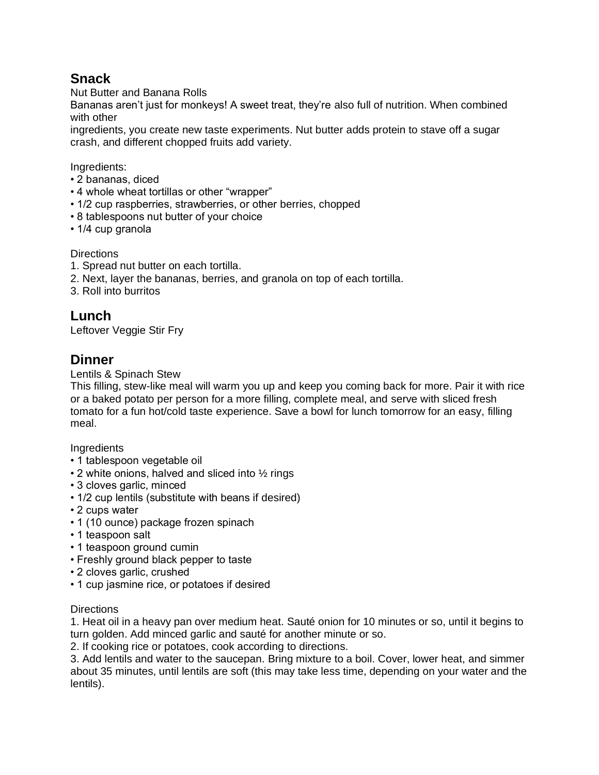# **Snack**

Nut Butter and Banana Rolls

Bananas aren't just for monkeys! A sweet treat, they're also full of nutrition. When combined with other

ingredients, you create new taste experiments. Nut butter adds protein to stave off a sugar crash, and different chopped fruits add variety.

Ingredients:

- 2 bananas, diced
- 4 whole wheat tortillas or other "wrapper"
- 1/2 cup raspberries, strawberries, or other berries, chopped
- 8 tablespoons nut butter of your choice
- 1/4 cup granola

**Directions** 

- 1. Spread nut butter on each tortilla.
- 2. Next, layer the bananas, berries, and granola on top of each tortilla.
- 3. Roll into burritos

# **Lunch**

Leftover Veggie Stir Fry

### **Dinner**

Lentils & Spinach Stew

This filling, stew-like meal will warm you up and keep you coming back for more. Pair it with rice or a baked potato per person for a more filling, complete meal, and serve with sliced fresh tomato for a fun hot/cold taste experience. Save a bowl for lunch tomorrow for an easy, filling meal.

**Ingredients** 

- 1 tablespoon vegetable oil
- 2 white onions, halved and sliced into  $\frac{1}{2}$  rings
- 3 cloves garlic, minced
- 1/2 cup lentils (substitute with beans if desired)
- 2 cups water
- 1 (10 ounce) package frozen spinach
- 1 teaspoon salt
- 1 teaspoon ground cumin
- Freshly ground black pepper to taste
- 2 cloves garlic, crushed
- 1 cup jasmine rice, or potatoes if desired

### **Directions**

1. Heat oil in a heavy pan over medium heat. Sauté onion for 10 minutes or so, until it begins to turn golden. Add minced garlic and sauté for another minute or so.

2. If cooking rice or potatoes, cook according to directions.

3. Add lentils and water to the saucepan. Bring mixture to a boil. Cover, lower heat, and simmer about 35 minutes, until lentils are soft (this may take less time, depending on your water and the lentils).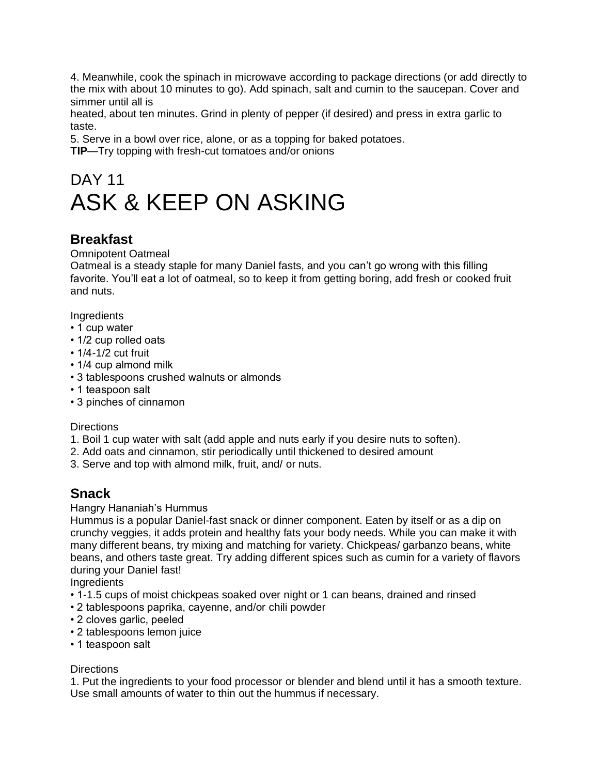4. Meanwhile, cook the spinach in microwave according to package directions (or add directly to the mix with about 10 minutes to go). Add spinach, salt and cumin to the saucepan. Cover and simmer until all is

heated, about ten minutes. Grind in plenty of pepper (if desired) and press in extra garlic to taste.

5. Serve in a bowl over rice, alone, or as a topping for baked potatoes.

**TIP**—Try topping with fresh-cut tomatoes and/or onions

# DAY 11 ASK & KEEP ON ASKING

# **Breakfast**

### Omnipotent Oatmeal

Oatmeal is a steady staple for many Daniel fasts, and you can't go wrong with this filling favorite. You'll eat a lot of oatmeal, so to keep it from getting boring, add fresh or cooked fruit and nuts.

**Ingredients** 

- 1 cup water
- 1/2 cup rolled oats
- 1/4-1/2 cut fruit
- 1/4 cup almond milk
- 3 tablespoons crushed walnuts or almonds
- 1 teaspoon salt
- 3 pinches of cinnamon

### **Directions**

- 1. Boil 1 cup water with salt (add apple and nuts early if you desire nuts to soften).
- 2. Add oats and cinnamon, stir periodically until thickened to desired amount
- 3. Serve and top with almond milk, fruit, and/ or nuts.

# **Snack**

Hangry Hananiah's Hummus

Hummus is a popular Daniel-fast snack or dinner component. Eaten by itself or as a dip on crunchy veggies, it adds protein and healthy fats your body needs. While you can make it with many different beans, try mixing and matching for variety. Chickpeas/ garbanzo beans, white beans, and others taste great. Try adding different spices such as cumin for a variety of flavors during your Daniel fast!

**Ingredients** 

- 1-1.5 cups of moist chickpeas soaked over night or 1 can beans, drained and rinsed
- 2 tablespoons paprika, cayenne, and/or chili powder
- 2 cloves garlic, peeled
- 2 tablespoons lemon juice
- 1 teaspoon salt

### **Directions**

1. Put the ingredients to your food processor or blender and blend until it has a smooth texture. Use small amounts of water to thin out the hummus if necessary.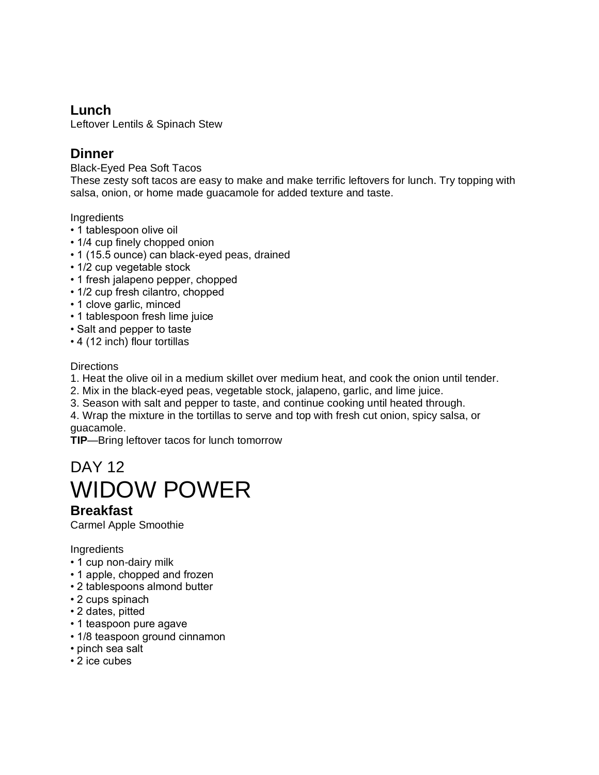# **Lunch**

Leftover Lentils & Spinach Stew

# **Dinner**

Black-Eyed Pea Soft Tacos

These zesty soft tacos are easy to make and make terrific leftovers for lunch. Try topping with salsa, onion, or home made guacamole for added texture and taste.

Ingredients

- 1 tablespoon olive oil
- 1/4 cup finely chopped onion
- 1 (15.5 ounce) can black-eyed peas, drained
- 1/2 cup vegetable stock
- 1 fresh jalapeno pepper, chopped
- 1/2 cup fresh cilantro, chopped
- 1 clove garlic, minced
- 1 tablespoon fresh lime juice
- Salt and pepper to taste
- 4 (12 inch) flour tortillas

### **Directions**

- 1. Heat the olive oil in a medium skillet over medium heat, and cook the onion until tender.
- 2. Mix in the black-eyed peas, vegetable stock, jalapeno, garlic, and lime juice.
- 3. Season with salt and pepper to taste, and continue cooking until heated through.
- 4. Wrap the mixture in the tortillas to serve and top with fresh cut onion, spicy salsa, or guacamole.

**TIP**—Bring leftover tacos for lunch tomorrow

# DAY 12 WIDOW POWER

# **Breakfast**

Carmel Apple Smoothie

- 1 cup non-dairy milk
- 1 apple, chopped and frozen
- 2 tablespoons almond butter
- 2 cups spinach
- 2 dates, pitted
- 1 teaspoon pure agave
- 1/8 teaspoon ground cinnamon
- pinch sea salt
- 2 ice cubes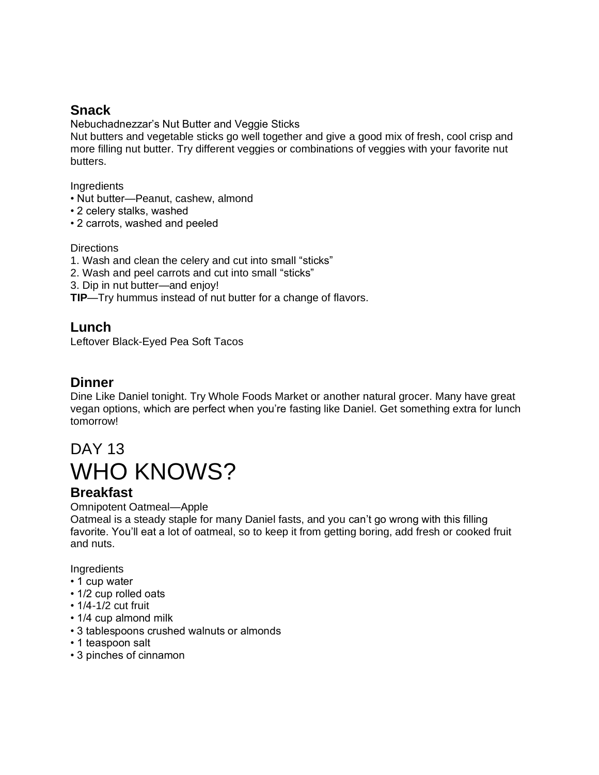# **Snack**

Nebuchadnezzar's Nut Butter and Veggie Sticks

Nut butters and vegetable sticks go well together and give a good mix of fresh, cool crisp and more filling nut butter. Try different veggies or combinations of veggies with your favorite nut butters.

**Ingredients** 

- Nut butter—Peanut, cashew, almond
- 2 celery stalks, washed
- 2 carrots, washed and peeled

### **Directions**

- 1. Wash and clean the celery and cut into small "sticks"
- 2. Wash and peel carrots and cut into small "sticks"
- 3. Dip in nut butter—and enjoy!
- **TIP**—Try hummus instead of nut butter for a change of flavors.

# **Lunch**

Leftover Black-Eyed Pea Soft Tacos

# **Dinner**

Dine Like Daniel tonight. Try Whole Foods Market or another natural grocer. Many have great vegan options, which are perfect when you're fasting like Daniel. Get something extra for lunch tomorrow!

# DAY 13 WHO KNOWS?

# **Breakfast**

Omnipotent Oatmeal—Apple

Oatmeal is a steady staple for many Daniel fasts, and you can't go wrong with this filling favorite. You'll eat a lot of oatmeal, so to keep it from getting boring, add fresh or cooked fruit and nuts.

- 1 cup water
- 1/2 cup rolled oats
- 1/4-1/2 cut fruit
- 1/4 cup almond milk
- 3 tablespoons crushed walnuts or almonds
- 1 teaspoon salt
- 3 pinches of cinnamon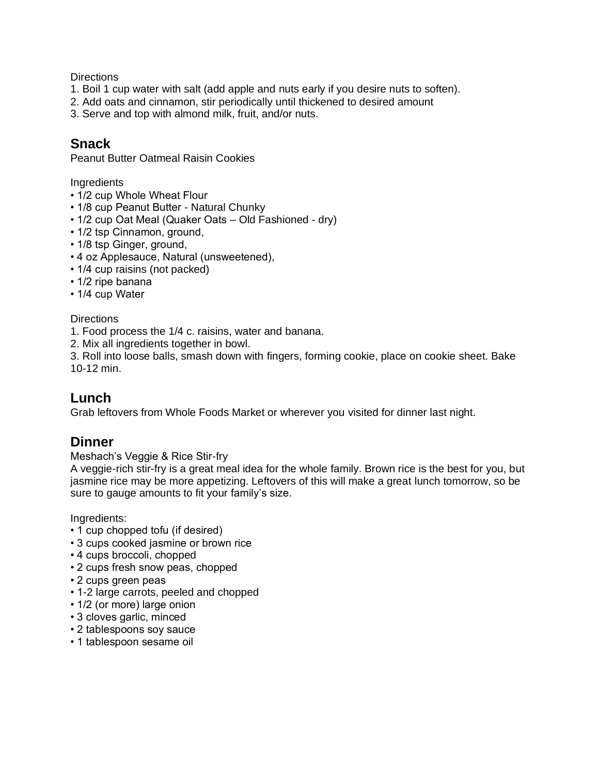- 1. Boil 1 cup water with salt (add apple and nuts early if you desire nuts to soften).
- 2. Add oats and cinnamon, stir periodically until thickened to desired amount
- 3. Serve and top with almond milk, fruit, and/or nuts.

## **Snack**

Peanut Butter Oatmeal Raisin Cookies

Ingredients

- 1/2 cup Whole Wheat Flour
- 1/8 cup Peanut Butter Natural Chunky
- 1/2 cup Oat Meal (Quaker Oats Old Fashioned dry)
- 1/2 tsp Cinnamon, ground,
- 1/8 tsp Ginger, ground,
- 4 oz Applesauce, Natural (unsweetened),
- 1/4 cup raisins (not packed)
- 1/2 ripe banana
- 1/4 cup Water

**Directions** 

- 1. Food process the 1/4 c. raisins, water and banana.
- 2. Mix all ingredients together in bowl.

3. Roll into loose balls, smash down with fingers, forming cookie, place on cookie sheet. Bake 10-12 min.

### **Lunch**

Grab leftovers from Whole Foods Market or wherever you visited for dinner last night.

### **Dinner**

Meshach's Veggie & Rice Stir-fry

A veggie-rich stir-fry is a great meal idea for the whole family. Brown rice is the best for you, but jasmine rice may be more appetizing. Leftovers of this will make a great lunch tomorrow, so be sure to gauge amounts to fit your family's size.

- 1 cup chopped tofu (if desired)
- 3 cups cooked jasmine or brown rice
- 4 cups broccoli, chopped
- 2 cups fresh snow peas, chopped
- 2 cups green peas
- 1-2 large carrots, peeled and chopped
- 1/2 (or more) large onion
- 3 cloves garlic, minced
- 2 tablespoons soy sauce
- 1 tablespoon sesame oil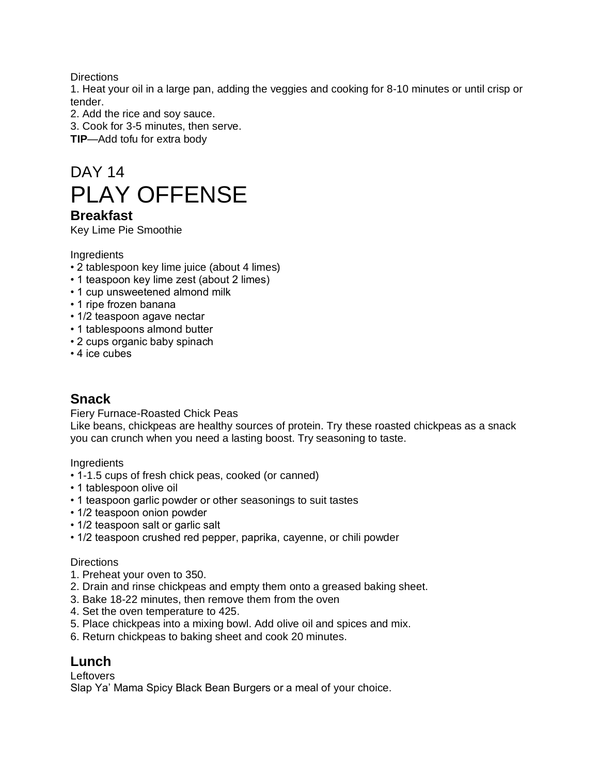1. Heat your oil in a large pan, adding the veggies and cooking for 8-10 minutes or until crisp or tender.

2. Add the rice and soy sauce.

3. Cook for 3-5 minutes, then serve.

**TIP**—Add tofu for extra body

# DAY 14 PLAY OFFENSE

### **Breakfast**

Key Lime Pie Smoothie

**Ingredients** 

- 2 tablespoon key lime juice (about 4 limes)
- 1 teaspoon key lime zest (about 2 limes)
- 1 cup unsweetened almond milk
- 1 ripe frozen banana
- 1/2 teaspoon agave nectar
- 1 tablespoons almond butter
- 2 cups organic baby spinach
- 4 ice cubes

### **Snack**

Fiery Furnace-Roasted Chick Peas

Like beans, chickpeas are healthy sources of protein. Try these roasted chickpeas as a snack you can crunch when you need a lasting boost. Try seasoning to taste.

Ingredients

- 1-1.5 cups of fresh chick peas, cooked (or canned)
- 1 tablespoon olive oil
- 1 teaspoon garlic powder or other seasonings to suit tastes
- 1/2 teaspoon onion powder
- 1/2 teaspoon salt or garlic salt
- 1/2 teaspoon crushed red pepper, paprika, cayenne, or chili powder

### **Directions**

- 1. Preheat your oven to 350.
- 2. Drain and rinse chickpeas and empty them onto a greased baking sheet.
- 3. Bake 18-22 minutes, then remove them from the oven
- 4. Set the oven temperature to 425.
- 5. Place chickpeas into a mixing bowl. Add olive oil and spices and mix.
- 6. Return chickpeas to baking sheet and cook 20 minutes.

### **Lunch**

**Leftovers** 

Slap Ya' Mama Spicy Black Bean Burgers or a meal of your choice.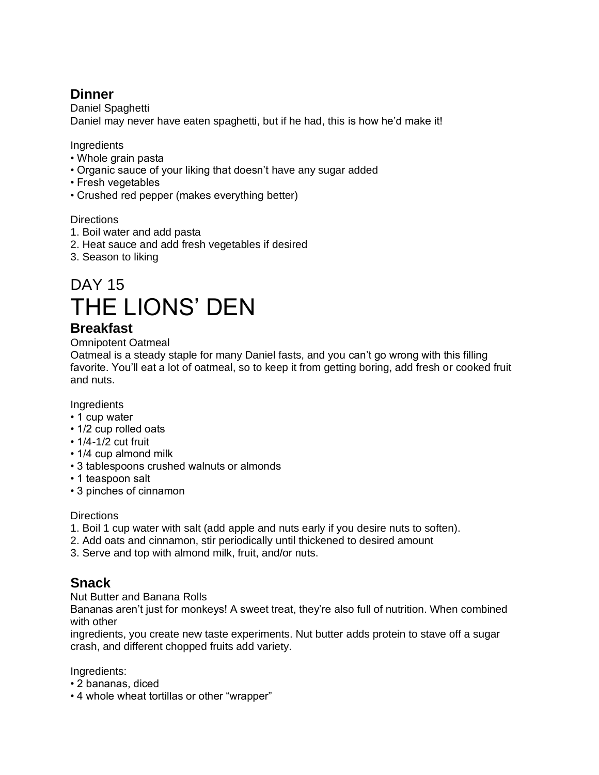# **Dinner**

Daniel Spaghetti Daniel may never have eaten spaghetti, but if he had, this is how he'd make it!

### **Ingredients**

- Whole grain pasta
- Organic sauce of your liking that doesn't have any sugar added
- Fresh vegetables
- Crushed red pepper (makes everything better)

### **Directions**

- 1. Boil water and add pasta
- 2. Heat sauce and add fresh vegetables if desired
- 3. Season to liking

# DAY 15 THE LIONS' DEN

# **Breakfast**

### Omnipotent Oatmeal

Oatmeal is a steady staple for many Daniel fasts, and you can't go wrong with this filling favorite. You'll eat a lot of oatmeal, so to keep it from getting boring, add fresh or cooked fruit and nuts.

### Ingredients

- 1 cup water
- 1/2 cup rolled oats
- 1/4-1/2 cut fruit
- 1/4 cup almond milk
- 3 tablespoons crushed walnuts or almonds
- 1 teaspoon salt
- 3 pinches of cinnamon

### **Directions**

- 1. Boil 1 cup water with salt (add apple and nuts early if you desire nuts to soften).
- 2. Add oats and cinnamon, stir periodically until thickened to desired amount
- 3. Serve and top with almond milk, fruit, and/or nuts.

# **Snack**

Nut Butter and Banana Rolls

Bananas aren't just for monkeys! A sweet treat, they're also full of nutrition. When combined with other

ingredients, you create new taste experiments. Nut butter adds protein to stave off a sugar crash, and different chopped fruits add variety.

- 2 bananas, diced
- 4 whole wheat tortillas or other "wrapper"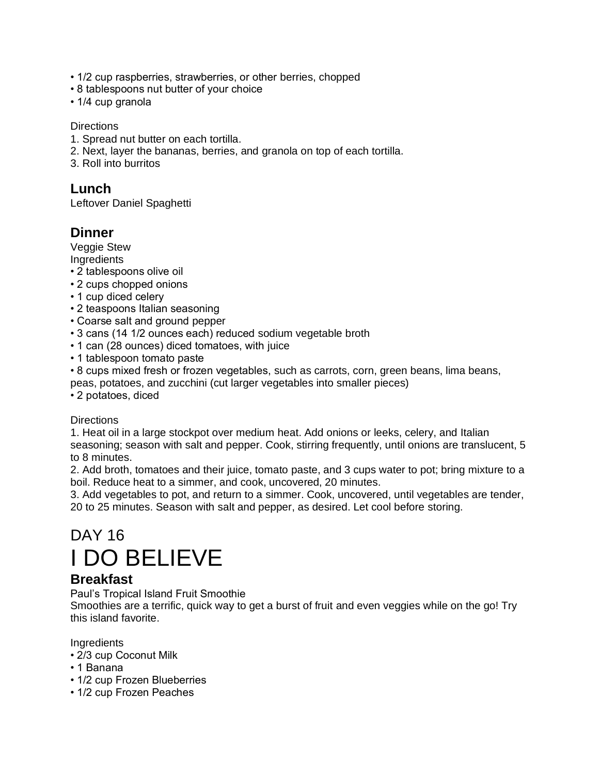- 1/2 cup raspberries, strawberries, or other berries, chopped
- 8 tablespoons nut butter of your choice
- 1/4 cup granola

- 1. Spread nut butter on each tortilla.
- 2. Next, layer the bananas, berries, and granola on top of each tortilla.
- 3. Roll into burritos

# **Lunch**

Leftover Daniel Spaghetti

# **Dinner**

Veggie Stew

**Ingredients** 

- 2 tablespoons olive oil
- 2 cups chopped onions
- 1 cup diced celery
- 2 teaspoons Italian seasoning
- Coarse salt and ground pepper
- 3 cans (14 1/2 ounces each) reduced sodium vegetable broth
- 1 can (28 ounces) diced tomatoes, with juice
- 1 tablespoon tomato paste

• 8 cups mixed fresh or frozen vegetables, such as carrots, corn, green beans, lima beans, peas, potatoes, and zucchini (cut larger vegetables into smaller pieces)

• 2 potatoes, diced

### **Directions**

1. Heat oil in a large stockpot over medium heat. Add onions or leeks, celery, and Italian seasoning; season with salt and pepper. Cook, stirring frequently, until onions are translucent, 5 to 8 minutes.

2. Add broth, tomatoes and their juice, tomato paste, and 3 cups water to pot; bring mixture to a boil. Reduce heat to a simmer, and cook, uncovered, 20 minutes.

3. Add vegetables to pot, and return to a simmer. Cook, uncovered, until vegetables are tender, 20 to 25 minutes. Season with salt and pepper, as desired. Let cool before storing.

# DAY 16 I DO BELIEVE

# **Breakfast**

Paul's Tropical Island Fruit Smoothie

Smoothies are a terrific, quick way to get a burst of fruit and even veggies while on the go! Try this island favorite.

- 2/3 cup Coconut Milk
- 1 Banana
- 1/2 cup Frozen Blueberries
- 1/2 cup Frozen Peaches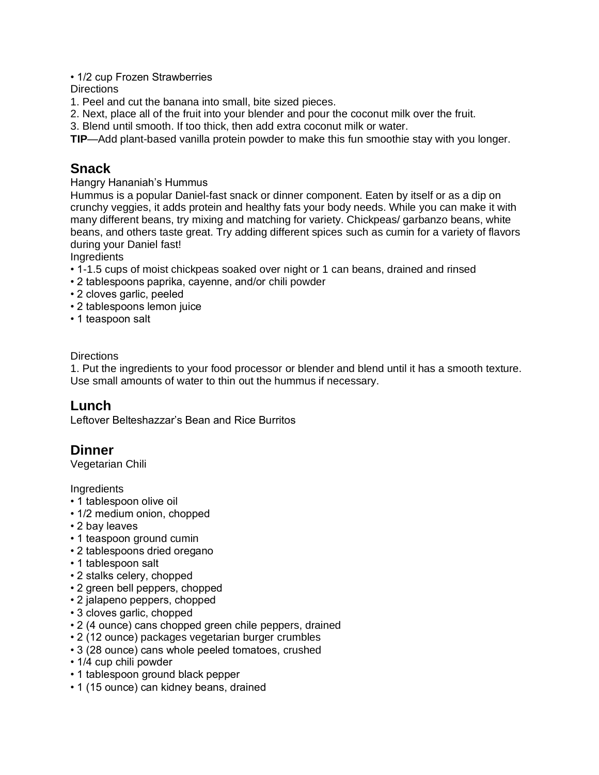• 1/2 cup Frozen Strawberries

**Directions** 

1. Peel and cut the banana into small, bite sized pieces.

2. Next, place all of the fruit into your blender and pour the coconut milk over the fruit.

3. Blend until smooth. If too thick, then add extra coconut milk or water.

**TIP**—Add plant-based vanilla protein powder to make this fun smoothie stay with you longer.

# **Snack**

Hangry Hananiah's Hummus

Hummus is a popular Daniel-fast snack or dinner component. Eaten by itself or as a dip on crunchy veggies, it adds protein and healthy fats your body needs. While you can make it with many different beans, try mixing and matching for variety. Chickpeas/ garbanzo beans, white beans, and others taste great. Try adding different spices such as cumin for a variety of flavors during your Daniel fast!

**Ingredients** 

- 1-1.5 cups of moist chickpeas soaked over night or 1 can beans, drained and rinsed
- 2 tablespoons paprika, cayenne, and/or chili powder
- 2 cloves garlic, peeled
- 2 tablespoons lemon juice
- 1 teaspoon salt

### **Directions**

1. Put the ingredients to your food processor or blender and blend until it has a smooth texture. Use small amounts of water to thin out the hummus if necessary.

### **Lunch**

Leftover Belteshazzar's Bean and Rice Burritos

### **Dinner**

Vegetarian Chili

- 1 tablespoon olive oil
- 1/2 medium onion, chopped
- 2 bay leaves
- 1 teaspoon ground cumin
- 2 tablespoons dried oregano
- 1 tablespoon salt
- 2 stalks celery, chopped
- 2 green bell peppers, chopped
- 2 jalapeno peppers, chopped
- 3 cloves garlic, chopped
- 2 (4 ounce) cans chopped green chile peppers, drained
- 2 (12 ounce) packages vegetarian burger crumbles
- 3 (28 ounce) cans whole peeled tomatoes, crushed
- 1/4 cup chili powder
- 1 tablespoon ground black pepper
- 1 (15 ounce) can kidney beans, drained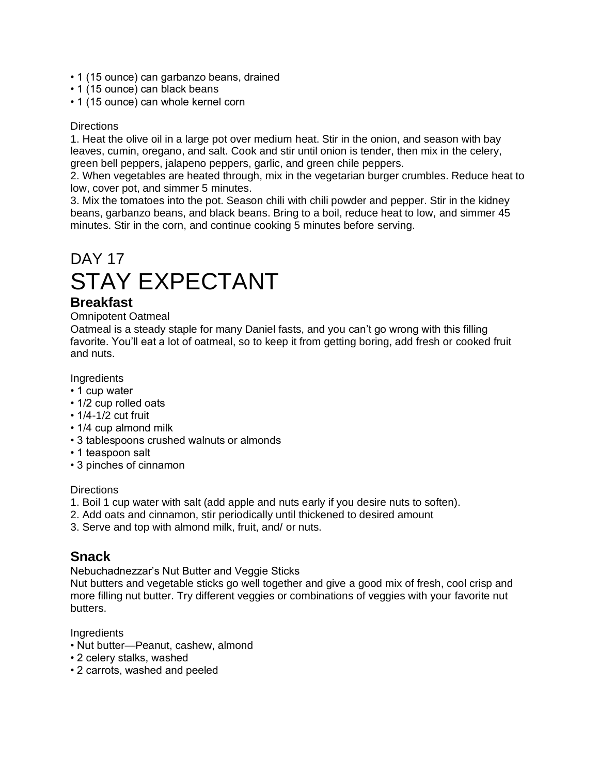- 1 (15 ounce) can garbanzo beans, drained
- 1 (15 ounce) can black beans
- 1 (15 ounce) can whole kernel corn

1. Heat the olive oil in a large pot over medium heat. Stir in the onion, and season with bay leaves, cumin, oregano, and salt. Cook and stir until onion is tender, then mix in the celery, green bell peppers, jalapeno peppers, garlic, and green chile peppers.

2. When vegetables are heated through, mix in the vegetarian burger crumbles. Reduce heat to low, cover pot, and simmer 5 minutes.

3. Mix the tomatoes into the pot. Season chili with chili powder and pepper. Stir in the kidney beans, garbanzo beans, and black beans. Bring to a boil, reduce heat to low, and simmer 45 minutes. Stir in the corn, and continue cooking 5 minutes before serving.

# DAY 17 STAY EXPECTANT

### **Breakfast**

Omnipotent Oatmeal

Oatmeal is a steady staple for many Daniel fasts, and you can't go wrong with this filling favorite. You'll eat a lot of oatmeal, so to keep it from getting boring, add fresh or cooked fruit and nuts.

**Ingredients** 

- 1 cup water
- 1/2 cup rolled oats
- 1/4-1/2 cut fruit
- 1/4 cup almond milk
- 3 tablespoons crushed walnuts or almonds
- 1 teaspoon salt
- 3 pinches of cinnamon

#### **Directions**

- 1. Boil 1 cup water with salt (add apple and nuts early if you desire nuts to soften).
- 2. Add oats and cinnamon, stir periodically until thickened to desired amount
- 3. Serve and top with almond milk, fruit, and/ or nuts.

### **Snack**

Nebuchadnezzar's Nut Butter and Veggie Sticks

Nut butters and vegetable sticks go well together and give a good mix of fresh, cool crisp and more filling nut butter. Try different veggies or combinations of veggies with your favorite nut butters.

- Nut butter—Peanut, cashew, almond
- 2 celery stalks, washed
- 2 carrots, washed and peeled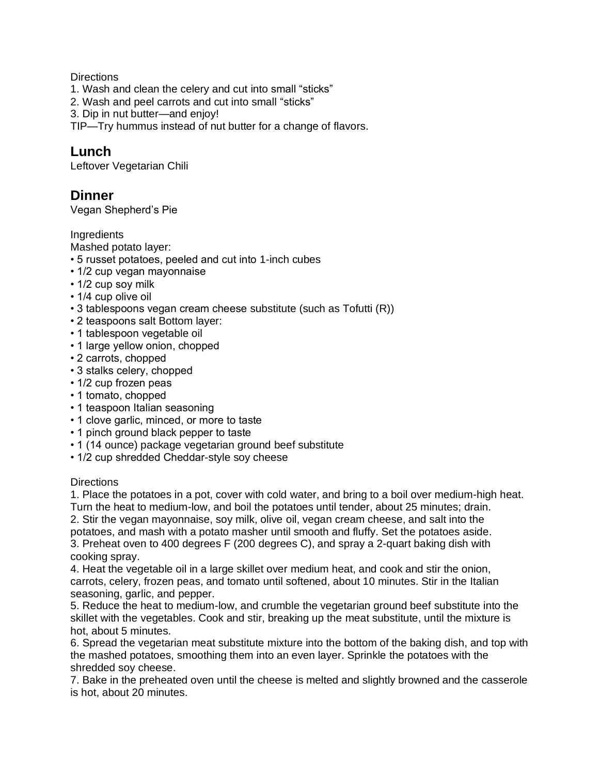- 1. Wash and clean the celery and cut into small "sticks"
- 2. Wash and peel carrots and cut into small "sticks"
- 3. Dip in nut butter—and enjoy!

TIP—Try hummus instead of nut butter for a change of flavors.

### **Lunch**

Leftover Vegetarian Chili

### **Dinner**

Vegan Shepherd's Pie

**Ingredients** 

Mashed potato layer:

- 5 russet potatoes, peeled and cut into 1-inch cubes
- 1/2 cup vegan mayonnaise
- 1/2 cup soy milk
- 1/4 cup olive oil
- 3 tablespoons vegan cream cheese substitute (such as Tofutti (R))
- 2 teaspoons salt Bottom layer:
- 1 tablespoon vegetable oil
- 1 large yellow onion, chopped
- 2 carrots, chopped
- 3 stalks celery, chopped
- 1/2 cup frozen peas
- 1 tomato, chopped
- 1 teaspoon Italian seasoning
- 1 clove garlic, minced, or more to taste
- 1 pinch ground black pepper to taste
- 1 (14 ounce) package vegetarian ground beef substitute
- 1/2 cup shredded Cheddar-style soy cheese

#### **Directions**

1. Place the potatoes in a pot, cover with cold water, and bring to a boil over medium-high heat. Turn the heat to medium-low, and boil the potatoes until tender, about 25 minutes; drain.

2. Stir the vegan mayonnaise, soy milk, olive oil, vegan cream cheese, and salt into the potatoes, and mash with a potato masher until smooth and fluffy. Set the potatoes aside. 3. Preheat oven to 400 degrees F (200 degrees C), and spray a 2-quart baking dish with cooking spray.

4. Heat the vegetable oil in a large skillet over medium heat, and cook and stir the onion, carrots, celery, frozen peas, and tomato until softened, about 10 minutes. Stir in the Italian seasoning, garlic, and pepper.

5. Reduce the heat to medium-low, and crumble the vegetarian ground beef substitute into the skillet with the vegetables. Cook and stir, breaking up the meat substitute, until the mixture is hot, about 5 minutes.

6. Spread the vegetarian meat substitute mixture into the bottom of the baking dish, and top with the mashed potatoes, smoothing them into an even layer. Sprinkle the potatoes with the shredded soy cheese.

7. Bake in the preheated oven until the cheese is melted and slightly browned and the casserole is hot, about 20 minutes.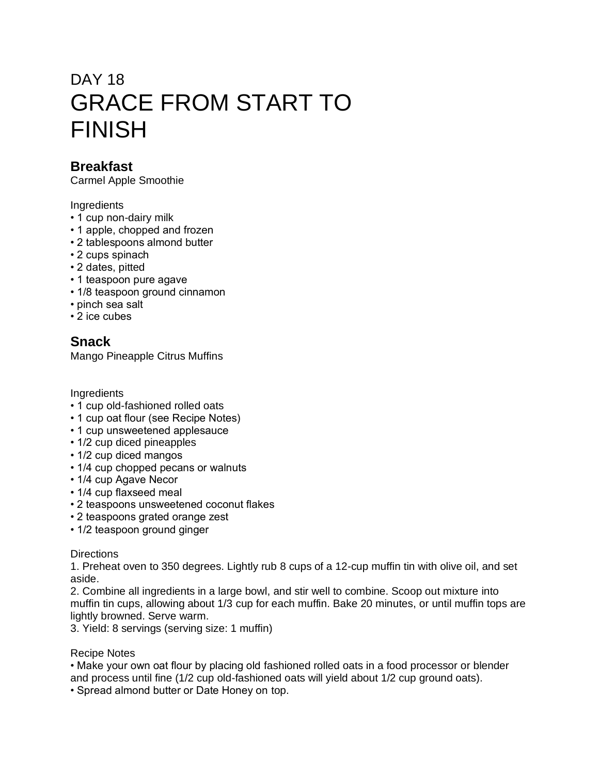# DAY 18 GRACE FROM START TO FINISH

# **Breakfast**

Carmel Apple Smoothie

### Ingredients

- 1 cup non-dairy milk
- 1 apple, chopped and frozen
- 2 tablespoons almond butter
- 2 cups spinach
- 2 dates, pitted
- 1 teaspoon pure agave
- 1/8 teaspoon ground cinnamon
- pinch sea salt
- 2 ice cubes

# **Snack**

Mango Pineapple Citrus Muffins

### Ingredients

- 1 cup old-fashioned rolled oats
- 1 cup oat flour (see Recipe Notes)
- 1 cup unsweetened applesauce
- 1/2 cup diced pineapples
- 1/2 cup diced mangos
- 1/4 cup chopped pecans or walnuts
- 1/4 cup Agave Necor
- 1/4 cup flaxseed meal
- 2 teaspoons unsweetened coconut flakes
- 2 teaspoons grated orange zest
- 1/2 teaspoon ground ginger

### **Directions**

1. Preheat oven to 350 degrees. Lightly rub 8 cups of a 12-cup muffin tin with olive oil, and set aside.

2. Combine all ingredients in a large bowl, and stir well to combine. Scoop out mixture into muffin tin cups, allowing about 1/3 cup for each muffin. Bake 20 minutes, or until muffin tops are lightly browned. Serve warm.

3. Yield: 8 servings (serving size: 1 muffin)

### Recipe Notes

• Make your own oat flour by placing old fashioned rolled oats in a food processor or blender and process until fine (1/2 cup old-fashioned oats will yield about 1/2 cup ground oats).

• Spread almond butter or Date Honey on top.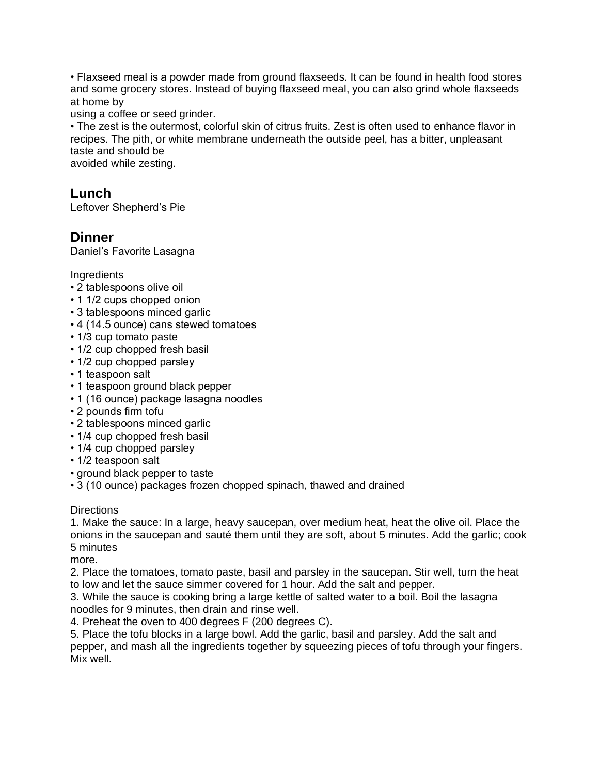• Flaxseed meal is a powder made from ground flaxseeds. It can be found in health food stores and some grocery stores. Instead of buying flaxseed meal, you can also grind whole flaxseeds at home by

using a coffee or seed grinder.

• The zest is the outermost, colorful skin of citrus fruits. Zest is often used to enhance flavor in recipes. The pith, or white membrane underneath the outside peel, has a bitter, unpleasant taste and should be

avoided while zesting.

### **Lunch**

Leftover Shepherd's Pie

# **Dinner**

Daniel's Favorite Lasagna

**Ingredients** 

- 2 tablespoons olive oil
- 1 1/2 cups chopped onion
- 3 tablespoons minced garlic
- 4 (14.5 ounce) cans stewed tomatoes
- 1/3 cup tomato paste
- 1/2 cup chopped fresh basil
- 1/2 cup chopped parsley
- 1 teaspoon salt
- 1 teaspoon ground black pepper
- 1 (16 ounce) package lasagna noodles
- 2 pounds firm tofu
- 2 tablespoons minced garlic
- 1/4 cup chopped fresh basil
- 1/4 cup chopped parsley
- 1/2 teaspoon salt
- ground black pepper to taste
- 3 (10 ounce) packages frozen chopped spinach, thawed and drained

### **Directions**

1. Make the sauce: In a large, heavy saucepan, over medium heat, heat the olive oil. Place the onions in the saucepan and sauté them until they are soft, about 5 minutes. Add the garlic; cook 5 minutes

more.

2. Place the tomatoes, tomato paste, basil and parsley in the saucepan. Stir well, turn the heat to low and let the sauce simmer covered for 1 hour. Add the salt and pepper.

3. While the sauce is cooking bring a large kettle of salted water to a boil. Boil the lasagna noodles for 9 minutes, then drain and rinse well.

4. Preheat the oven to 400 degrees F (200 degrees C).

5. Place the tofu blocks in a large bowl. Add the garlic, basil and parsley. Add the salt and pepper, and mash all the ingredients together by squeezing pieces of tofu through your fingers. Mix well.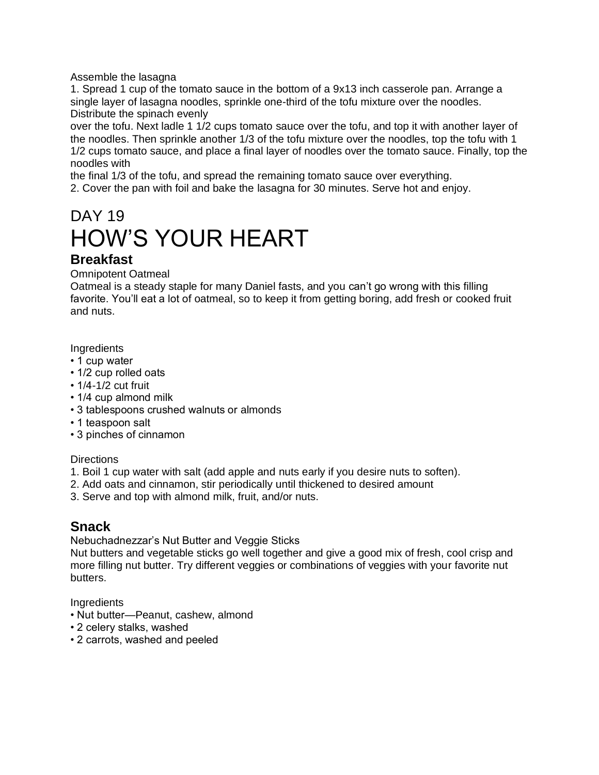Assemble the lasagna

1. Spread 1 cup of the tomato sauce in the bottom of a 9x13 inch casserole pan. Arrange a single layer of lasagna noodles, sprinkle one-third of the tofu mixture over the noodles. Distribute the spinach evenly

over the tofu. Next ladle 1 1/2 cups tomato sauce over the tofu, and top it with another layer of the noodles. Then sprinkle another 1/3 of the tofu mixture over the noodles, top the tofu with 1 1/2 cups tomato sauce, and place a final layer of noodles over the tomato sauce. Finally, top the noodles with

the final 1/3 of the tofu, and spread the remaining tomato sauce over everything. 2. Cover the pan with foil and bake the lasagna for 30 minutes. Serve hot and enjoy.

# DAY 19 HOW'S YOUR HEART

### **Breakfast**

Omnipotent Oatmeal

Oatmeal is a steady staple for many Daniel fasts, and you can't go wrong with this filling favorite. You'll eat a lot of oatmeal, so to keep it from getting boring, add fresh or cooked fruit and nuts.

**Ingredients** 

- 1 cup water
- 1/2 cup rolled oats
- 1/4-1/2 cut fruit
- 1/4 cup almond milk
- 3 tablespoons crushed walnuts or almonds
- 1 teaspoon salt
- 3 pinches of cinnamon

### **Directions**

- 1. Boil 1 cup water with salt (add apple and nuts early if you desire nuts to soften).
- 2. Add oats and cinnamon, stir periodically until thickened to desired amount
- 3. Serve and top with almond milk, fruit, and/or nuts.

### **Snack**

Nebuchadnezzar's Nut Butter and Veggie Sticks

Nut butters and vegetable sticks go well together and give a good mix of fresh, cool crisp and more filling nut butter. Try different veggies or combinations of veggies with your favorite nut butters.

- Nut butter—Peanut, cashew, almond
- 2 celery stalks, washed
- 2 carrots, washed and peeled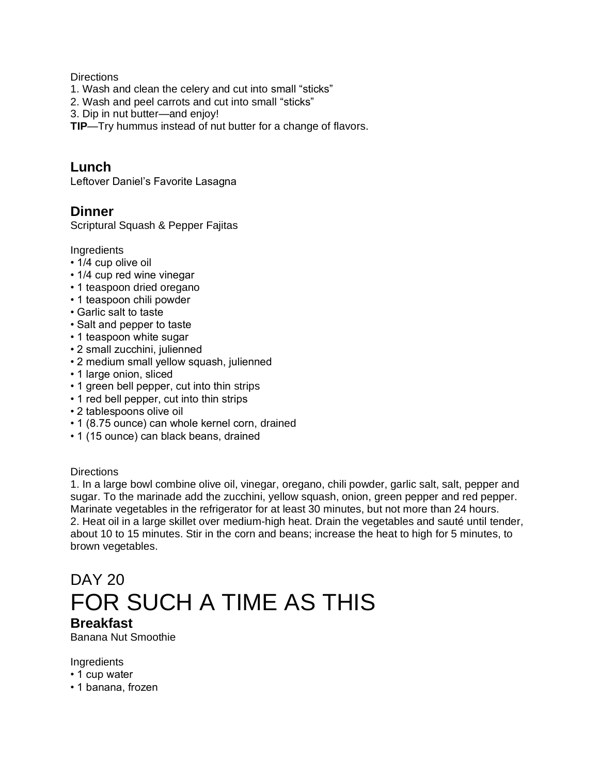- 1. Wash and clean the celery and cut into small "sticks"
- 2. Wash and peel carrots and cut into small "sticks"
- 3. Dip in nut butter—and enjoy!

**TIP**—Try hummus instead of nut butter for a change of flavors.

### **Lunch**

Leftover Daniel's Favorite Lasagna

### **Dinner**

Scriptural Squash & Pepper Fajitas

**Ingredients** 

- 1/4 cup olive oil
- 1/4 cup red wine vinegar
- 1 teaspoon dried oregano
- 1 teaspoon chili powder
- Garlic salt to taste
- Salt and pepper to taste
- 1 teaspoon white sugar
- 2 small zucchini, julienned
- 2 medium small yellow squash, julienned
- 1 large onion, sliced
- 1 green bell pepper, cut into thin strips
- 1 red bell pepper, cut into thin strips
- 2 tablespoons olive oil
- 1 (8.75 ounce) can whole kernel corn, drained
- 1 (15 ounce) can black beans, drained

### **Directions**

1. In a large bowl combine olive oil, vinegar, oregano, chili powder, garlic salt, salt, pepper and sugar. To the marinade add the zucchini, yellow squash, onion, green pepper and red pepper. Marinate vegetables in the refrigerator for at least 30 minutes, but not more than 24 hours. 2. Heat oil in a large skillet over medium-high heat. Drain the vegetables and sauté until tender, about 10 to 15 minutes. Stir in the corn and beans; increase the heat to high for 5 minutes, to brown vegetables.

# DAY 20 FOR SUCH A TIME AS THIS

### **Breakfast**

Banana Nut Smoothie

- 1 cup water
- 1 banana, frozen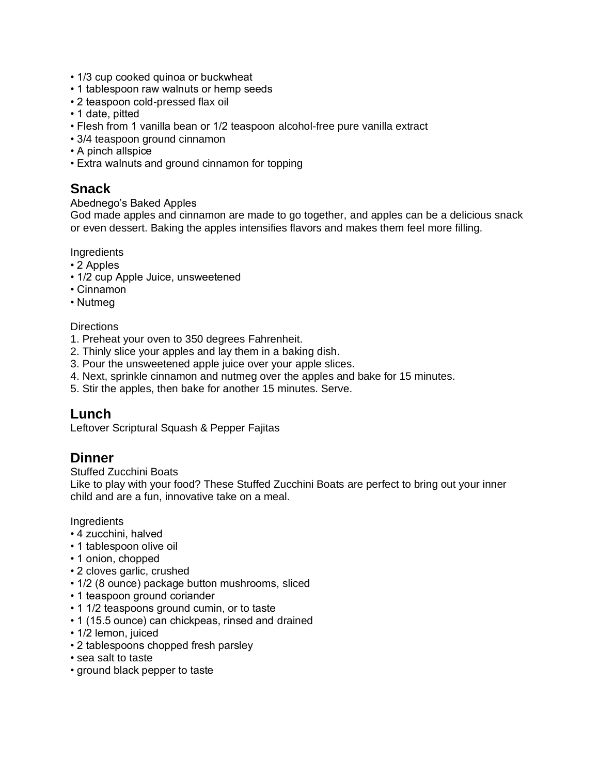- 1/3 cup cooked quinoa or buckwheat
- 1 tablespoon raw walnuts or hemp seeds
- 2 teaspoon cold-pressed flax oil
- 1 date, pitted
- Flesh from 1 vanilla bean or 1/2 teaspoon alcohol-free pure vanilla extract
- 3/4 teaspoon ground cinnamon
- A pinch allspice
- Extra walnuts and ground cinnamon for topping

# **Snack**

#### Abednego's Baked Apples

God made apples and cinnamon are made to go together, and apples can be a delicious snack or even dessert. Baking the apples intensifies flavors and makes them feel more filling.

#### Ingredients

- 2 Apples
- 1/2 cup Apple Juice, unsweetened
- Cinnamon
- Nutmeg

#### **Directions**

- 1. Preheat your oven to 350 degrees Fahrenheit.
- 2. Thinly slice your apples and lay them in a baking dish.
- 3. Pour the unsweetened apple juice over your apple slices.
- 4. Next, sprinkle cinnamon and nutmeg over the apples and bake for 15 minutes.
- 5. Stir the apples, then bake for another 15 minutes. Serve.

### **Lunch**

Leftover Scriptural Squash & Pepper Fajitas

### **Dinner**

Stuffed Zucchini Boats

Like to play with your food? These Stuffed Zucchini Boats are perfect to bring out your inner child and are a fun, innovative take on a meal.

- 4 zucchini, halved
- 1 tablespoon olive oil
- 1 onion, chopped
- 2 cloves garlic, crushed
- 1/2 (8 ounce) package button mushrooms, sliced
- 1 teaspoon ground coriander
- 1 1/2 teaspoons ground cumin, or to taste
- 1 (15.5 ounce) can chickpeas, rinsed and drained
- 1/2 lemon, juiced
- 2 tablespoons chopped fresh parsley
- sea salt to taste
- ground black pepper to taste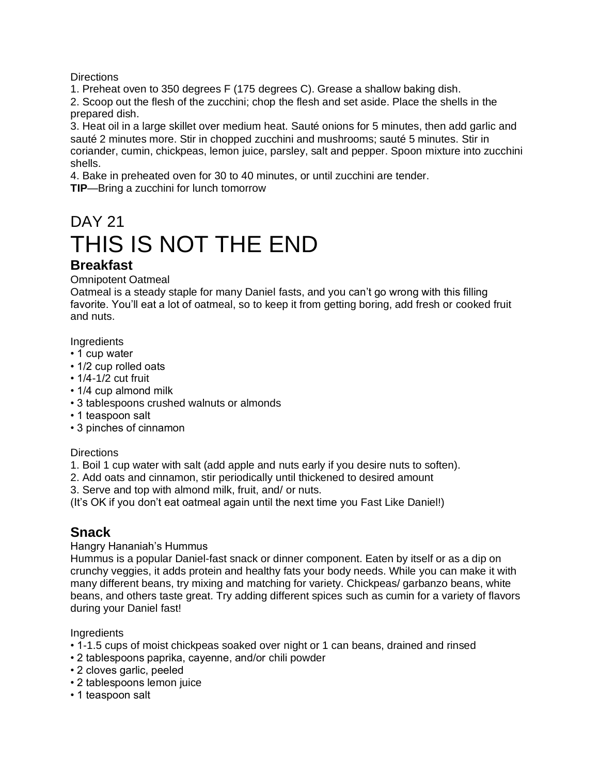1. Preheat oven to 350 degrees F (175 degrees C). Grease a shallow baking dish.

2. Scoop out the flesh of the zucchini; chop the flesh and set aside. Place the shells in the prepared dish.

3. Heat oil in a large skillet over medium heat. Sauté onions for 5 minutes, then add garlic and sauté 2 minutes more. Stir in chopped zucchini and mushrooms; sauté 5 minutes. Stir in coriander, cumin, chickpeas, lemon juice, parsley, salt and pepper. Spoon mixture into zucchini shells.

4. Bake in preheated oven for 30 to 40 minutes, or until zucchini are tender. **TIP**—Bring a zucchini for lunch tomorrow

# DAY 21 THIS IS NOT THE END **Breakfast**

Omnipotent Oatmeal

Oatmeal is a steady staple for many Daniel fasts, and you can't go wrong with this filling favorite. You'll eat a lot of oatmeal, so to keep it from getting boring, add fresh or cooked fruit and nuts.

**Ingredients** 

- 1 cup water
- 1/2 cup rolled oats
- 1/4-1/2 cut fruit
- 1/4 cup almond milk
- 3 tablespoons crushed walnuts or almonds
- 1 teaspoon salt
- 3 pinches of cinnamon

**Directions** 

- 1. Boil 1 cup water with salt (add apple and nuts early if you desire nuts to soften).
- 2. Add oats and cinnamon, stir periodically until thickened to desired amount
- 3. Serve and top with almond milk, fruit, and/ or nuts.

(It's OK if you don't eat oatmeal again until the next time you Fast Like Daniel!)

# **Snack**

Hangry Hananiah's Hummus

Hummus is a popular Daniel-fast snack or dinner component. Eaten by itself or as a dip on crunchy veggies, it adds protein and healthy fats your body needs. While you can make it with many different beans, try mixing and matching for variety. Chickpeas/ garbanzo beans, white beans, and others taste great. Try adding different spices such as cumin for a variety of flavors during your Daniel fast!

- 1-1.5 cups of moist chickpeas soaked over night or 1 can beans, drained and rinsed
- 2 tablespoons paprika, cayenne, and/or chili powder
- 2 cloves garlic, peeled
- 2 tablespoons lemon juice
- 1 teaspoon salt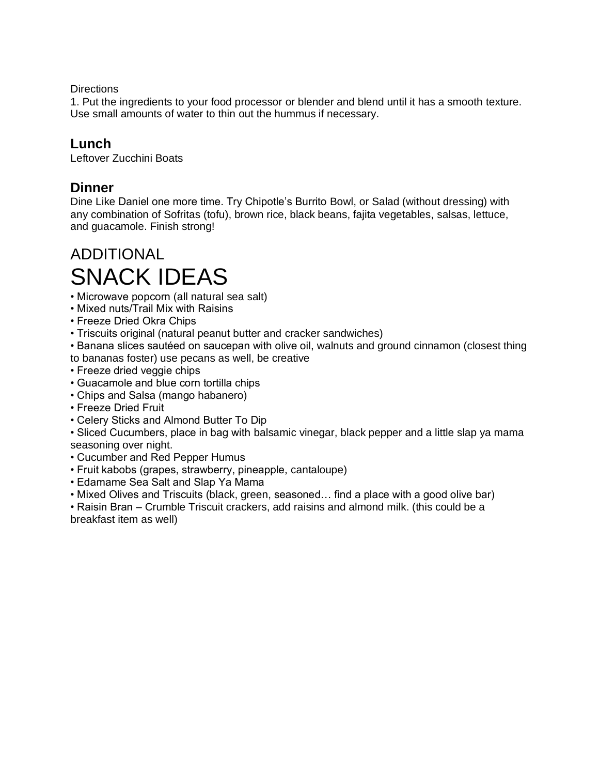1. Put the ingredients to your food processor or blender and blend until it has a smooth texture. Use small amounts of water to thin out the hummus if necessary.

### **Lunch**

Leftover Zucchini Boats

### **Dinner**

Dine Like Daniel one more time. Try Chipotle's Burrito Bowl, or Salad (without dressing) with any combination of Sofritas (tofu), brown rice, black beans, fajita vegetables, salsas, lettuce, and guacamole. Finish strong!

# ADDITIONAL SNACK IDEAS

- Microwave popcorn (all natural sea salt)
- Mixed nuts/Trail Mix with Raisins
- Freeze Dried Okra Chips
- Triscuits original (natural peanut butter and cracker sandwiches)

• Banana slices sautéed on saucepan with olive oil, walnuts and ground cinnamon (closest thing to bananas foster) use pecans as well, be creative

- Freeze dried veggie chips
- Guacamole and blue corn tortilla chips
- Chips and Salsa (mango habanero)
- Freeze Dried Fruit
- Celery Sticks and Almond Butter To Dip

• Sliced Cucumbers, place in bag with balsamic vinegar, black pepper and a little slap ya mama seasoning over night.

- Cucumber and Red Pepper Humus
- Fruit kabobs (grapes, strawberry, pineapple, cantaloupe)
- Edamame Sea Salt and Slap Ya Mama
- Mixed Olives and Triscuits (black, green, seasoned… find a place with a good olive bar)

• Raisin Bran – Crumble Triscuit crackers, add raisins and almond milk. (this could be a breakfast item as well)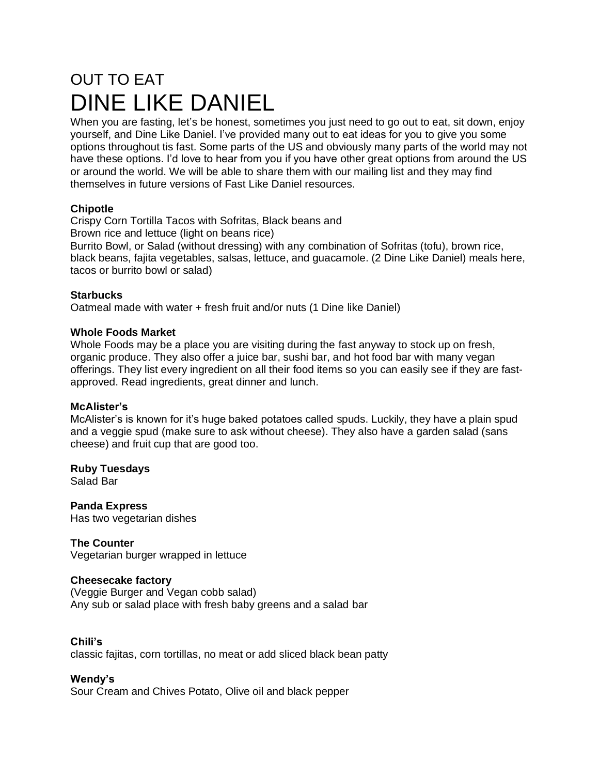# OUT TO EAT DINE LIKE DANIEL

When you are fasting, let's be honest, sometimes you just need to go out to eat, sit down, enjoy yourself, and Dine Like Daniel. I've provided many out to eat ideas for you to give you some options throughout tis fast. Some parts of the US and obviously many parts of the world may not have these options. I'd love to hear from you if you have other great options from around the US or around the world. We will be able to share them with our mailing list and they may find themselves in future versions of Fast Like Daniel resources.

### **Chipotle**

Crispy Corn Tortilla Tacos with Sofritas, Black beans and Brown rice and lettuce (light on beans rice)

Burrito Bowl, or Salad (without dressing) with any combination of Sofritas (tofu), brown rice, black beans, fajita vegetables, salsas, lettuce, and guacamole. (2 Dine Like Daniel) meals here, tacos or burrito bowl or salad)

### **Starbucks**

Oatmeal made with water + fresh fruit and/or nuts (1 Dine like Daniel)

### **Whole Foods Market**

Whole Foods may be a place you are visiting during the fast anyway to stock up on fresh, organic produce. They also offer a juice bar, sushi bar, and hot food bar with many vegan offerings. They list every ingredient on all their food items so you can easily see if they are fastapproved. Read ingredients, great dinner and lunch.

### **McAlister's**

McAlister's is known for it's huge baked potatoes called spuds. Luckily, they have a plain spud and a veggie spud (make sure to ask without cheese). They also have a garden salad (sans cheese) and fruit cup that are good too.

**Ruby Tuesdays** Salad Bar

**Panda Express** Has two vegetarian dishes

**The Counter** Vegetarian burger wrapped in lettuce

### **Cheesecake factory**

(Veggie Burger and Vegan cobb salad) Any sub or salad place with fresh baby greens and a salad bar

### **Chili's**

classic fajitas, corn tortillas, no meat or add sliced black bean patty

### **Wendy's**

Sour Cream and Chives Potato, Olive oil and black pepper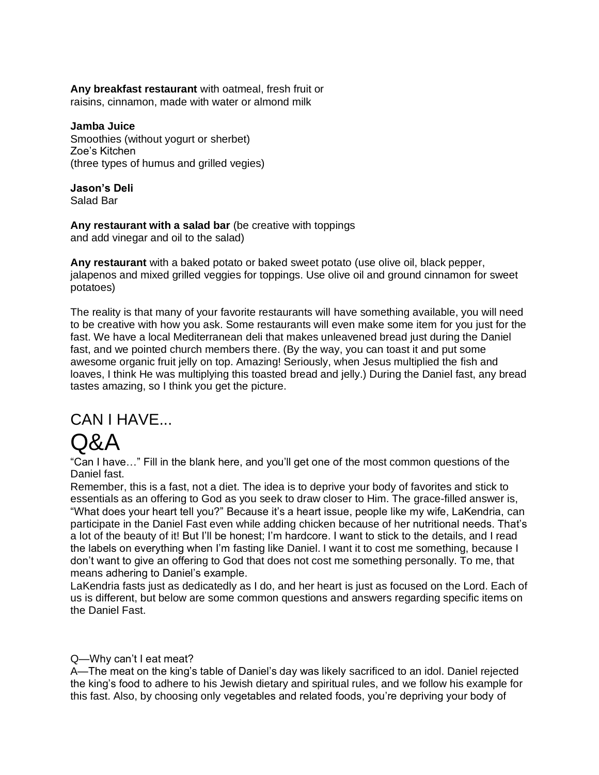**Any breakfast restaurant** with oatmeal, fresh fruit or raisins, cinnamon, made with water or almond milk

**Jamba Juice** Smoothies (without yogurt or sherbet) Zoe's Kitchen (three types of humus and grilled vegies)

**Jason's Deli** Salad Bar

**Any restaurant with a salad bar** (be creative with toppings and add vinegar and oil to the salad)

**Any restaurant** with a baked potato or baked sweet potato (use olive oil, black pepper, jalapenos and mixed grilled veggies for toppings. Use olive oil and ground cinnamon for sweet potatoes)

The reality is that many of your favorite restaurants will have something available, you will need to be creative with how you ask. Some restaurants will even make some item for you just for the fast. We have a local Mediterranean deli that makes unleavened bread just during the Daniel fast, and we pointed church members there. (By the way, you can toast it and put some awesome organic fruit jelly on top. Amazing! Seriously, when Jesus multiplied the fish and loaves, I think He was multiplying this toasted bread and jelly.) During the Daniel fast, any bread tastes amazing, so I think you get the picture.

# CAN I HAVE...

# Q&A

"Can I have…" Fill in the blank here, and you'll get one of the most common questions of the Daniel fast.

Remember, this is a fast, not a diet. The idea is to deprive your body of favorites and stick to essentials as an offering to God as you seek to draw closer to Him. The grace-filled answer is, "What does your heart tell you?" Because it's a heart issue, people like my wife, LaKendria, can participate in the Daniel Fast even while adding chicken because of her nutritional needs. That's a lot of the beauty of it! But I'll be honest; I'm hardcore. I want to stick to the details, and I read the labels on everything when I'm fasting like Daniel. I want it to cost me something, because I don't want to give an offering to God that does not cost me something personally. To me, that means adhering to Daniel's example.

LaKendria fasts just as dedicatedly as I do, and her heart is just as focused on the Lord. Each of us is different, but below are some common questions and answers regarding specific items on the Daniel Fast.

### Q—Why can't I eat meat?

A—The meat on the king's table of Daniel's day was likely sacrificed to an idol. Daniel rejected the king's food to adhere to his Jewish dietary and spiritual rules, and we follow his example for this fast. Also, by choosing only vegetables and related foods, you're depriving your body of